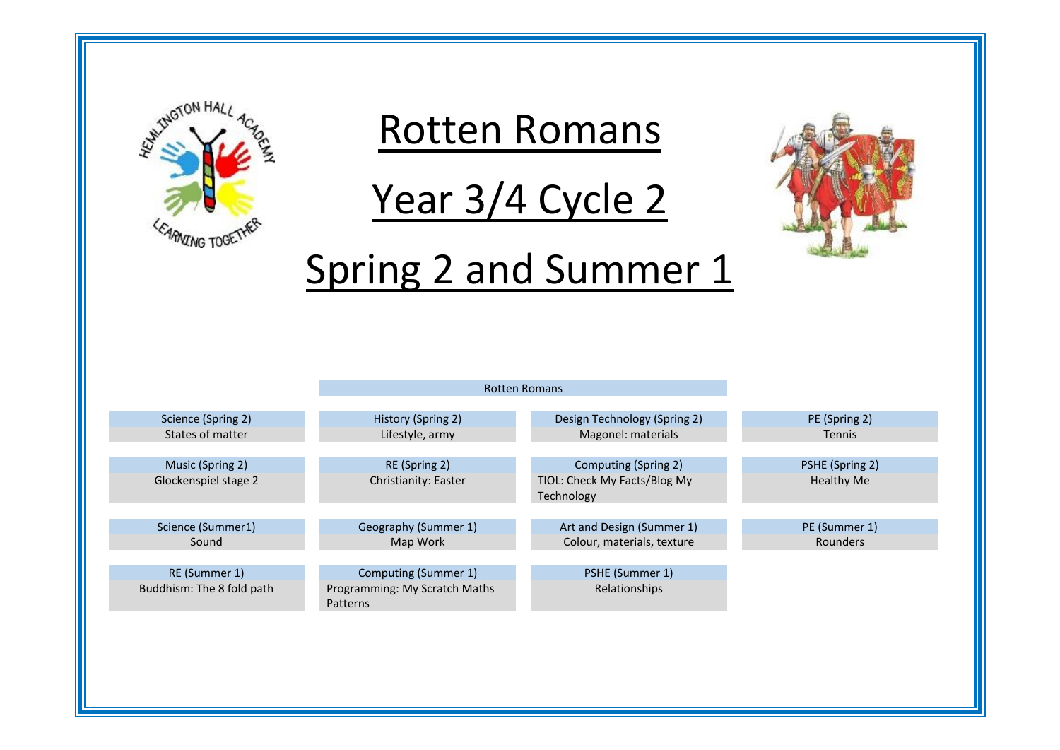

# Rotten Romans

Year 3/4 Cycle 2



# Spring 2 and Summer 1

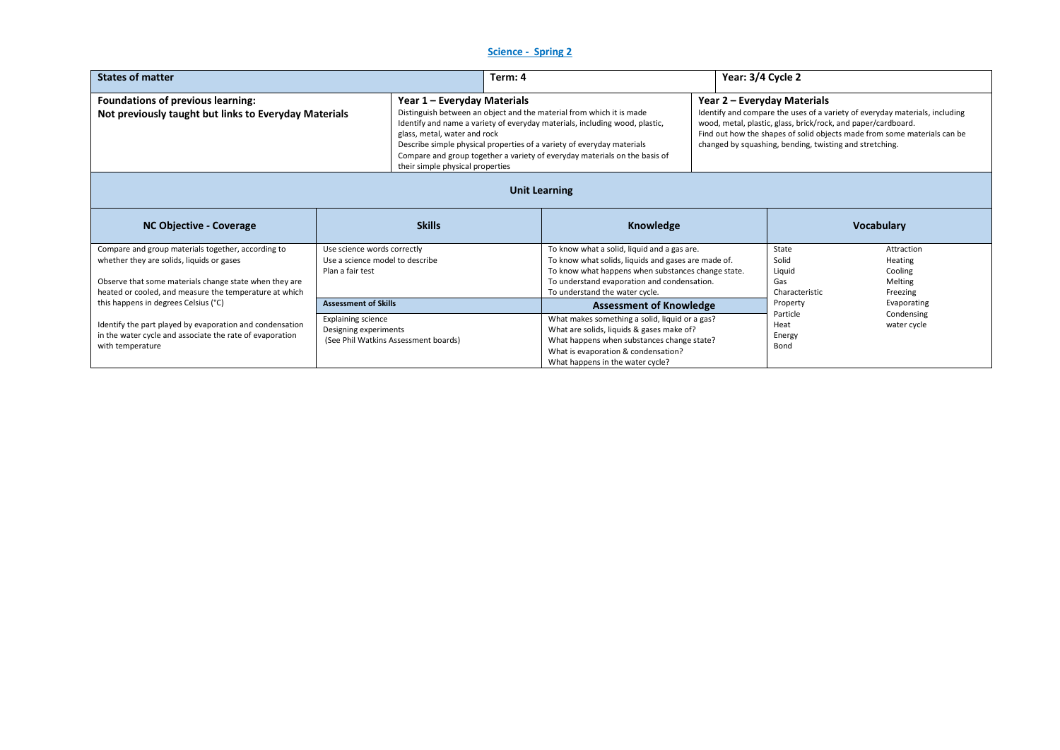## **Science - Spring 2**

| <b>States of matter</b>                                                                                                                                                                                             |                                                                                    | Term: 4                                                                                                                                                                                                                                                                                                     |  |                                                                                                                                                                                                                                           | Year: 3/4 Cycle 2                                                                                                                                                                                                                                                                                                  |  |                                                   |                                                         |
|---------------------------------------------------------------------------------------------------------------------------------------------------------------------------------------------------------------------|------------------------------------------------------------------------------------|-------------------------------------------------------------------------------------------------------------------------------------------------------------------------------------------------------------------------------------------------------------------------------------------------------------|--|-------------------------------------------------------------------------------------------------------------------------------------------------------------------------------------------------------------------------------------------|--------------------------------------------------------------------------------------------------------------------------------------------------------------------------------------------------------------------------------------------------------------------------------------------------------------------|--|---------------------------------------------------|---------------------------------------------------------|
| Foundations of previous learning:<br>Year 1 - Everyday Materials<br>Not previously taught but links to Everyday Materials<br>glass, metal, water and rock<br>their simple physical properties                       |                                                                                    | Distinguish between an object and the material from which it is made<br>Identify and name a variety of everyday materials, including wood, plastic,<br>Describe simple physical properties of a variety of everyday materials<br>Compare and group together a variety of everyday materials on the basis of |  |                                                                                                                                                                                                                                           | Year 2 – Everyday Materials<br>Identify and compare the uses of a variety of everyday materials, including<br>wood, metal, plastic, glass, brick/rock, and paper/cardboard.<br>Find out how the shapes of solid objects made from some materials can be<br>changed by squashing, bending, twisting and stretching. |  |                                                   |                                                         |
| <b>Unit Learning</b>                                                                                                                                                                                                |                                                                                    |                                                                                                                                                                                                                                                                                                             |  |                                                                                                                                                                                                                                           |                                                                                                                                                                                                                                                                                                                    |  |                                                   |                                                         |
| <b>NC Objective - Coverage</b>                                                                                                                                                                                      |                                                                                    | <b>Skills</b>                                                                                                                                                                                                                                                                                               |  | Knowledge                                                                                                                                                                                                                                 |                                                                                                                                                                                                                                                                                                                    |  |                                                   | <b>Vocabulary</b>                                       |
| Compare and group materials together, according to<br>whether they are solids, liquids or gases<br>Observe that some materials change state when they are<br>heated or cooled, and measure the temperature at which | Use science words correctly<br>Use a science model to describe<br>Plan a fair test |                                                                                                                                                                                                                                                                                                             |  | To know what a solid, liquid and a gas are.<br>To know what solids, liquids and gases are made of.<br>To know what happens when substances change state.<br>To understand evaporation and condensation.<br>To understand the water cycle. |                                                                                                                                                                                                                                                                                                                    |  | State<br>Solid<br>Liquid<br>Gas<br>Characteristic | Attraction<br>Heating<br>Cooling<br>Melting<br>Freezing |
| this happens in degrees Celsius (°C)                                                                                                                                                                                | <b>Assessment of Skills</b>                                                        |                                                                                                                                                                                                                                                                                                             |  | <b>Assessment of Knowledge</b>                                                                                                                                                                                                            |                                                                                                                                                                                                                                                                                                                    |  | Property                                          | Evaporating                                             |
| Identify the part played by evaporation and condensation<br>in the water cycle and associate the rate of evaporation<br>with temperature                                                                            | <b>Explaining science</b><br>Designing experiments                                 | (See Phil Watkins Assessment boards)                                                                                                                                                                                                                                                                        |  | What makes something a solid, liquid or a gas?<br>What are solids, liquids & gases make of?<br>What happens when substances change state?<br>What is evaporation & condensation?<br>What happens in the water cycle?                      |                                                                                                                                                                                                                                                                                                                    |  | Particle<br>Heat<br>Energy<br>Bond                | Condensing<br>water cycle                               |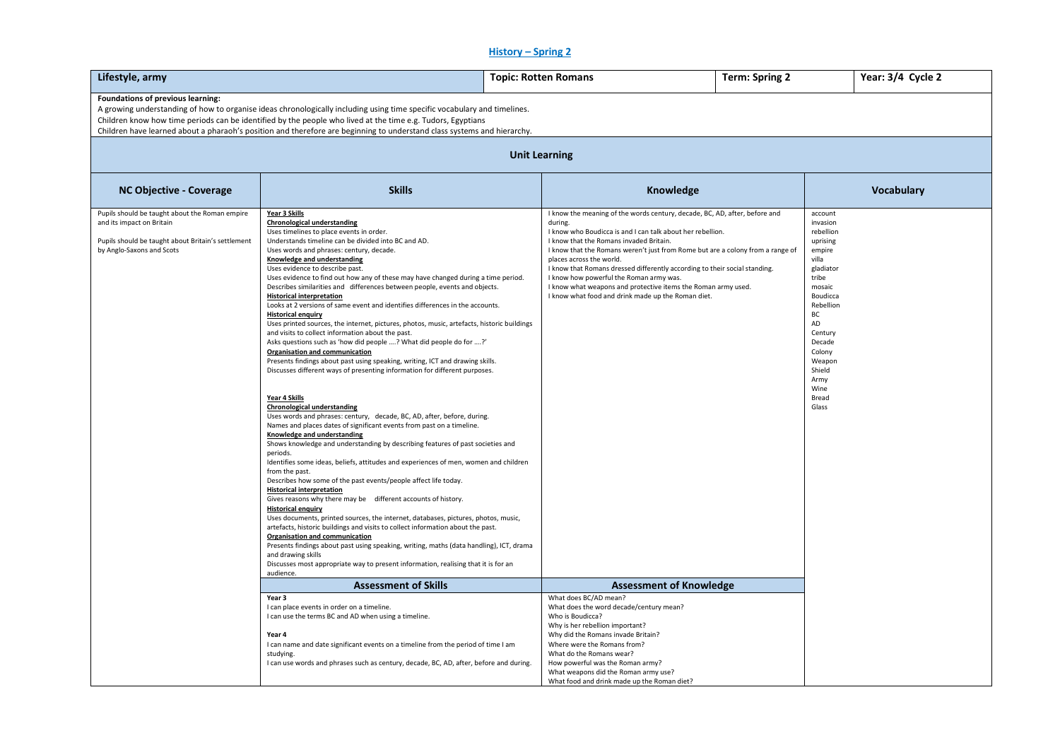# **History – Spring 2**

| Lifestyle, army                                                                                                                                                |                                                                                                                                                                                                                                                                                                                                                                                                                                                                                                                                                                                                                                                                                                                                                                                                                                                                                                                                                                                                                                                                                                                                                                                                                                                                                                                                                                                                                                                                                                                                                                                                                                                                                                                                                                                                                                                                                                                                                                                                                                                                                                           | <b>Topic: Rotten Romans</b>                                                                                                                                                                                                                                                                                                                                                                                                                                                                                                                                  | Term: Spring 2                                                                                                                                                                                                            | Year: 3/4 Cycle 2 |  |  |  |  |  |
|----------------------------------------------------------------------------------------------------------------------------------------------------------------|-----------------------------------------------------------------------------------------------------------------------------------------------------------------------------------------------------------------------------------------------------------------------------------------------------------------------------------------------------------------------------------------------------------------------------------------------------------------------------------------------------------------------------------------------------------------------------------------------------------------------------------------------------------------------------------------------------------------------------------------------------------------------------------------------------------------------------------------------------------------------------------------------------------------------------------------------------------------------------------------------------------------------------------------------------------------------------------------------------------------------------------------------------------------------------------------------------------------------------------------------------------------------------------------------------------------------------------------------------------------------------------------------------------------------------------------------------------------------------------------------------------------------------------------------------------------------------------------------------------------------------------------------------------------------------------------------------------------------------------------------------------------------------------------------------------------------------------------------------------------------------------------------------------------------------------------------------------------------------------------------------------------------------------------------------------------------------------------------------------|--------------------------------------------------------------------------------------------------------------------------------------------------------------------------------------------------------------------------------------------------------------------------------------------------------------------------------------------------------------------------------------------------------------------------------------------------------------------------------------------------------------------------------------------------------------|---------------------------------------------------------------------------------------------------------------------------------------------------------------------------------------------------------------------------|-------------------|--|--|--|--|--|
| Foundations of previous learning:                                                                                                                              | A growing understanding of how to organise ideas chronologically including using time specific vocabulary and timelines.<br>Children know how time periods can be identified by the people who lived at the time e.g. Tudors, Egyptians<br>Children have learned about a pharaoh's position and therefore are beginning to understand class systems and hierarchy.                                                                                                                                                                                                                                                                                                                                                                                                                                                                                                                                                                                                                                                                                                                                                                                                                                                                                                                                                                                                                                                                                                                                                                                                                                                                                                                                                                                                                                                                                                                                                                                                                                                                                                                                        |                                                                                                                                                                                                                                                                                                                                                                                                                                                                                                                                                              |                                                                                                                                                                                                                           |                   |  |  |  |  |  |
| <b>Unit Learning</b>                                                                                                                                           |                                                                                                                                                                                                                                                                                                                                                                                                                                                                                                                                                                                                                                                                                                                                                                                                                                                                                                                                                                                                                                                                                                                                                                                                                                                                                                                                                                                                                                                                                                                                                                                                                                                                                                                                                                                                                                                                                                                                                                                                                                                                                                           |                                                                                                                                                                                                                                                                                                                                                                                                                                                                                                                                                              |                                                                                                                                                                                                                           |                   |  |  |  |  |  |
| NC Objective - Coverage                                                                                                                                        | <b>Skills</b>                                                                                                                                                                                                                                                                                                                                                                                                                                                                                                                                                                                                                                                                                                                                                                                                                                                                                                                                                                                                                                                                                                                                                                                                                                                                                                                                                                                                                                                                                                                                                                                                                                                                                                                                                                                                                                                                                                                                                                                                                                                                                             | Knowledge                                                                                                                                                                                                                                                                                                                                                                                                                                                                                                                                                    |                                                                                                                                                                                                                           | <b>Vocabulary</b> |  |  |  |  |  |
| Pupils should be taught about the Roman empire<br>and its impact on Britain<br>Pupils should be taught about Britain's settlement<br>by Anglo-Saxons and Scots | Year 3 Skills<br><b>Chronological understanding</b><br>Uses timelines to place events in order.<br>Understands timeline can be divided into BC and AD.<br>Uses words and phrases: century, decade.<br>Knowledge and understanding<br>Uses evidence to describe past.<br>Uses evidence to find out how any of these may have changed during a time period.<br>Describes similarities and differences between people, events and objects.<br><b>Historical interpretation</b><br>Looks at 2 versions of same event and identifies differences in the accounts.<br><b>Historical enquiry</b><br>Uses printed sources, the internet, pictures, photos, music, artefacts, historic buildings<br>and visits to collect information about the past.<br>Asks questions such as 'how did people ? What did people do for ?'<br>Organisation and communication<br>Presents findings about past using speaking, writing, ICT and drawing skills.<br>Discusses different ways of presenting information for different purposes.<br>Year 4 Skills<br><b>Chronological understanding</b><br>Uses words and phrases: century, decade, BC, AD, after, before, during.<br>Names and places dates of significant events from past on a timeline.<br>Knowledge and understanding<br>Shows knowledge and understanding by describing features of past societies and<br>periods.<br>Identifies some ideas, beliefs, attitudes and experiences of men, women and children<br>from the past.<br>Describes how some of the past events/people affect life today.<br><b>Historical interpretation</b><br>Gives reasons why there may be different accounts of history.<br><b>Historical enquiry</b><br>Uses documents, printed sources, the internet, databases, pictures, photos, music,<br>artefacts, historic buildings and visits to collect information about the past.<br>Organisation and communication<br>Presents findings about past using speaking, writing, maths (data handling), ICT, drama<br>and drawing skills<br>Discusses most appropriate way to present information, realising that it is for an<br>audience. | I know the meaning of the words century, decade, BC, AD, after, before and<br>during.<br>I know who Boudicca is and I can talk about her rebellion.<br>I know that the Romans invaded Britain.<br>I know that the Romans weren't just from Rome but are a colony from a range of<br>places across the world.<br>I know that Romans dressed differently according to their social standing.<br>I know how powerful the Roman army was.<br>I know what weapons and protective items the Roman army used.<br>I know what food and drink made up the Roman diet. | account<br>invasion<br>rebellion<br>uprising<br>empire<br>villa<br>gladiator<br>tribe<br>mosaic<br>Boudicca<br>Rebellion<br>BC<br>AD<br>Century<br>Decade<br>Colony<br>Weapon<br>Shield<br>Army<br>Wine<br>Bread<br>Glass |                   |  |  |  |  |  |
|                                                                                                                                                                | <b>Assessment of Skills</b>                                                                                                                                                                                                                                                                                                                                                                                                                                                                                                                                                                                                                                                                                                                                                                                                                                                                                                                                                                                                                                                                                                                                                                                                                                                                                                                                                                                                                                                                                                                                                                                                                                                                                                                                                                                                                                                                                                                                                                                                                                                                               | <b>Assessment of Knowledge</b>                                                                                                                                                                                                                                                                                                                                                                                                                                                                                                                               |                                                                                                                                                                                                                           |                   |  |  |  |  |  |
|                                                                                                                                                                | Year 3<br>I can place events in order on a timeline.<br>I can use the terms BC and AD when using a timeline.<br>Year 4<br>I can name and date significant events on a timeline from the period of time I am<br>studying.<br>I can use words and phrases such as century, decade, BC, AD, after, before and during.                                                                                                                                                                                                                                                                                                                                                                                                                                                                                                                                                                                                                                                                                                                                                                                                                                                                                                                                                                                                                                                                                                                                                                                                                                                                                                                                                                                                                                                                                                                                                                                                                                                                                                                                                                                        | What does BC/AD mean?<br>What does the word decade/century mean?<br>Who is Boudicca?<br>Why is her rebellion important?<br>Why did the Romans invade Britain?<br>Where were the Romans from?<br>What do the Romans wear?<br>How powerful was the Roman army?<br>What weapons did the Roman army use?<br>What food and drink made up the Roman diet?                                                                                                                                                                                                          |                                                                                                                                                                                                                           |                   |  |  |  |  |  |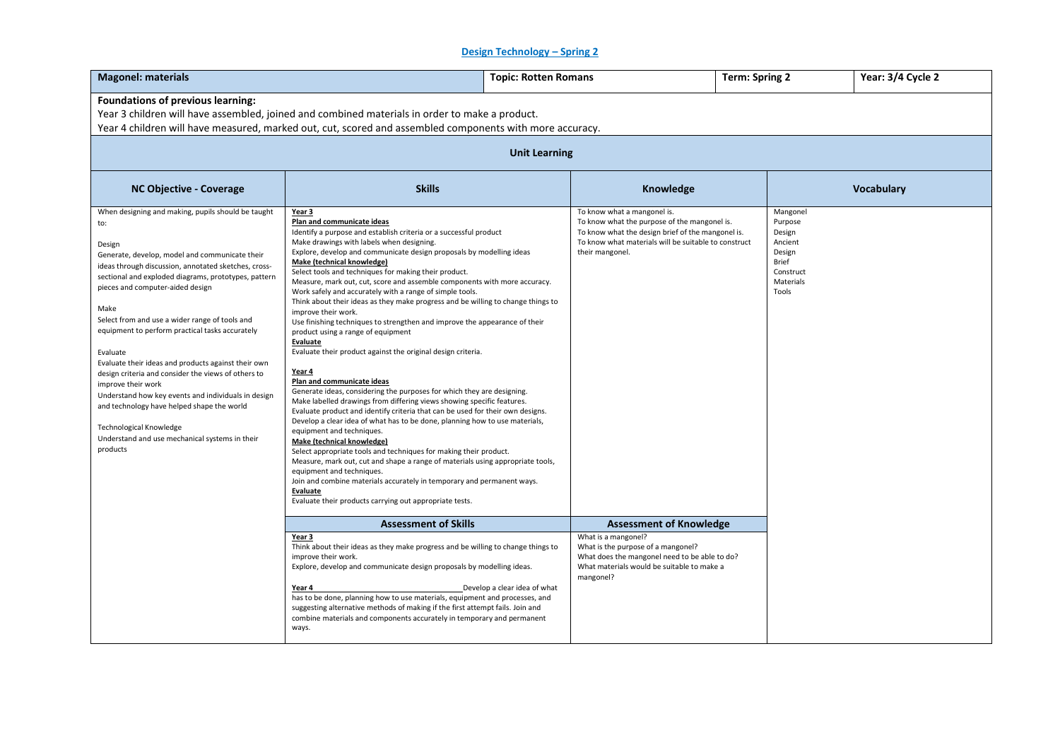# **Design Technology – Spring 2**

| <b>Magonel: materials</b>                                                                                                                                                                                                                                                                                                                                                                                                                                                                                                                                                                                                                                                                                                            | <b>Topic: Rotten Romans</b>                                                                                                                                                                                                                                                                                                                                                                                                                                                                                                                                                                                                                                                                                                                                                                                                                                                                                                                                                                                                                                                                                                                                                                                                                                                                                                                                                                                                                                                                                                            | <b>Term: Spring 2</b>                                                                                                                                                                                       |  |                                                                                                       | Year: 3/4 Cycle 2 |  |  |  |
|--------------------------------------------------------------------------------------------------------------------------------------------------------------------------------------------------------------------------------------------------------------------------------------------------------------------------------------------------------------------------------------------------------------------------------------------------------------------------------------------------------------------------------------------------------------------------------------------------------------------------------------------------------------------------------------------------------------------------------------|----------------------------------------------------------------------------------------------------------------------------------------------------------------------------------------------------------------------------------------------------------------------------------------------------------------------------------------------------------------------------------------------------------------------------------------------------------------------------------------------------------------------------------------------------------------------------------------------------------------------------------------------------------------------------------------------------------------------------------------------------------------------------------------------------------------------------------------------------------------------------------------------------------------------------------------------------------------------------------------------------------------------------------------------------------------------------------------------------------------------------------------------------------------------------------------------------------------------------------------------------------------------------------------------------------------------------------------------------------------------------------------------------------------------------------------------------------------------------------------------------------------------------------------|-------------------------------------------------------------------------------------------------------------------------------------------------------------------------------------------------------------|--|-------------------------------------------------------------------------------------------------------|-------------------|--|--|--|
| <b>Foundations of previous learning:</b><br>Year 3 children will have assembled, joined and combined materials in order to make a product.<br>Year 4 children will have measured, marked out, cut, scored and assembled components with more accuracy.                                                                                                                                                                                                                                                                                                                                                                                                                                                                               |                                                                                                                                                                                                                                                                                                                                                                                                                                                                                                                                                                                                                                                                                                                                                                                                                                                                                                                                                                                                                                                                                                                                                                                                                                                                                                                                                                                                                                                                                                                                        |                                                                                                                                                                                                             |  |                                                                                                       |                   |  |  |  |
|                                                                                                                                                                                                                                                                                                                                                                                                                                                                                                                                                                                                                                                                                                                                      | <b>Unit Learning</b>                                                                                                                                                                                                                                                                                                                                                                                                                                                                                                                                                                                                                                                                                                                                                                                                                                                                                                                                                                                                                                                                                                                                                                                                                                                                                                                                                                                                                                                                                                                   |                                                                                                                                                                                                             |  |                                                                                                       |                   |  |  |  |
| <b>NC Objective - Coverage</b>                                                                                                                                                                                                                                                                                                                                                                                                                                                                                                                                                                                                                                                                                                       | <b>Skills</b>                                                                                                                                                                                                                                                                                                                                                                                                                                                                                                                                                                                                                                                                                                                                                                                                                                                                                                                                                                                                                                                                                                                                                                                                                                                                                                                                                                                                                                                                                                                          | Knowledge                                                                                                                                                                                                   |  |                                                                                                       | Vocabulary        |  |  |  |
| When designing and making, pupils should be taught<br>to:<br>Design<br>Generate, develop, model and communicate their<br>ideas through discussion, annotated sketches, cross-<br>sectional and exploded diagrams, prototypes, pattern<br>pieces and computer-aided design<br>Make<br>Select from and use a wider range of tools and<br>equipment to perform practical tasks accurately<br>Evaluate<br>Evaluate their ideas and products against their own<br>design criteria and consider the views of others to<br>improve their work<br>Understand how key events and individuals in design<br>and technology have helped shape the world<br>Technological Knowledge<br>Understand and use mechanical systems in their<br>products | Year 3<br>Plan and communicate ideas<br>Identify a purpose and establish criteria or a successful product<br>Make drawings with labels when designing.<br>Explore, develop and communicate design proposals by modelling ideas<br>Make (technical knowledge)<br>Select tools and techniques for making their product.<br>Measure, mark out, cut, score and assemble components with more accuracy.<br>Work safely and accurately with a range of simple tools.<br>Think about their ideas as they make progress and be willing to change things to<br>improve their work.<br>Use finishing techniques to strengthen and improve the appearance of their<br>product using a range of equipment<br>Evaluate<br>Evaluate their product against the original design criteria.<br>Year 4<br>Plan and communicate ideas<br>Generate ideas, considering the purposes for which they are designing.<br>Make labelled drawings from differing views showing specific features.<br>Evaluate product and identify criteria that can be used for their own designs.<br>Develop a clear idea of what has to be done, planning how to use materials,<br>equipment and techniques.<br>Make (technical knowledge)<br>Select appropriate tools and techniques for making their product.<br>Measure, mark out, cut and shape a range of materials using appropriate tools,<br>equipment and techniques.<br>Join and combine materials accurately in temporary and permanent ways.<br>Evaluate<br>Evaluate their products carrying out appropriate tests. | To know what a mangonel is.<br>To know what the purpose of the mangonel is.<br>To know what the design brief of the mangonel is.<br>To know what materials will be suitable to construct<br>their mangonel. |  | Mangonel<br>Purpose<br>Design<br>Ancient<br>Design<br><b>Brief</b><br>Construct<br>Materials<br>Tools |                   |  |  |  |
|                                                                                                                                                                                                                                                                                                                                                                                                                                                                                                                                                                                                                                                                                                                                      | <b>Assessment of Skills</b><br>Year 3<br>Think about their ideas as they make progress and be willing to change things to<br>improve their work.<br>Explore, develop and communicate design proposals by modelling ideas.                                                                                                                                                                                                                                                                                                                                                                                                                                                                                                                                                                                                                                                                                                                                                                                                                                                                                                                                                                                                                                                                                                                                                                                                                                                                                                              | <b>Assessment of Knowledge</b><br>What is a mangonel?<br>What is the purpose of a mangonel?<br>What does the mangonel need to be able to do?<br>What materials would be suitable to make a                  |  |                                                                                                       |                   |  |  |  |
|                                                                                                                                                                                                                                                                                                                                                                                                                                                                                                                                                                                                                                                                                                                                      | Develop a clear idea of what<br>Year 4<br>has to be done, planning how to use materials, equipment and processes, and<br>suggesting alternative methods of making if the first attempt fails. Join and<br>combine materials and components accurately in temporary and permanent<br>ways.                                                                                                                                                                                                                                                                                                                                                                                                                                                                                                                                                                                                                                                                                                                                                                                                                                                                                                                                                                                                                                                                                                                                                                                                                                              | mangonel?                                                                                                                                                                                                   |  |                                                                                                       |                   |  |  |  |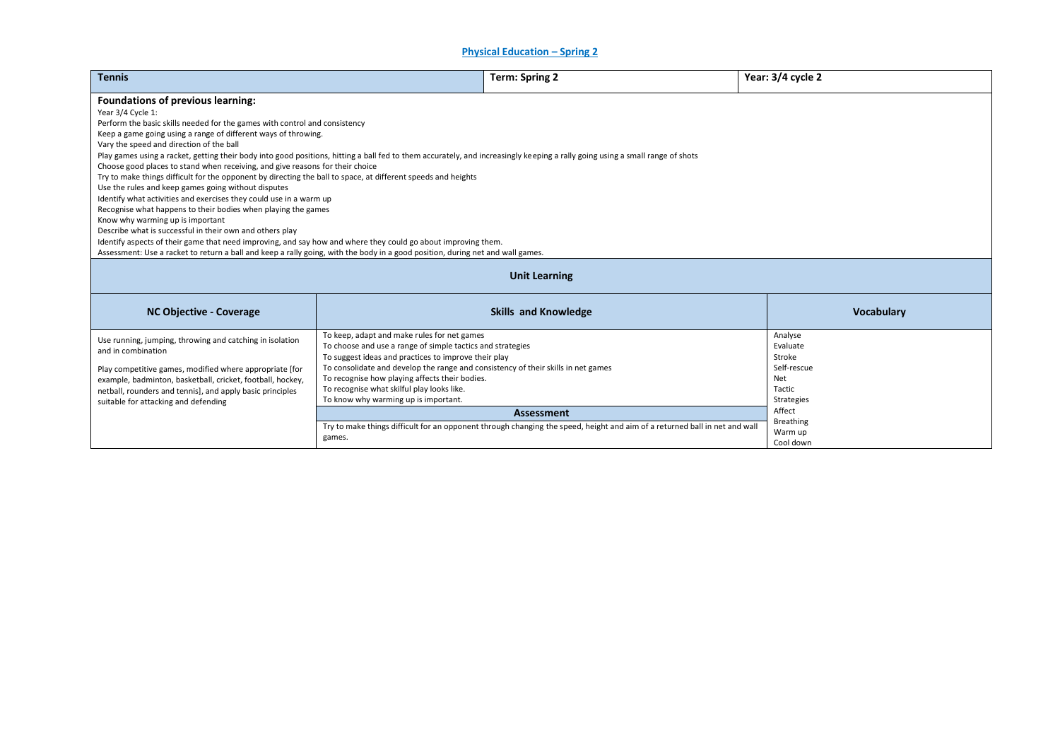**Physical Education – Spring 2**

| <b>Tennis</b>                                                                                                                                                                                                                                                                                                                                                                                                                                                                                                                                                                                                                                                                                                                                                                                                                                                                                                                                                                                                                                                                                                                                                                          | <b>Term: Spring 2</b>                                                                                                                                                                                                                                                                                                                                                                                               | Year: 3/4 cycle 2                                                                                                |  |  |  |  |
|----------------------------------------------------------------------------------------------------------------------------------------------------------------------------------------------------------------------------------------------------------------------------------------------------------------------------------------------------------------------------------------------------------------------------------------------------------------------------------------------------------------------------------------------------------------------------------------------------------------------------------------------------------------------------------------------------------------------------------------------------------------------------------------------------------------------------------------------------------------------------------------------------------------------------------------------------------------------------------------------------------------------------------------------------------------------------------------------------------------------------------------------------------------------------------------|---------------------------------------------------------------------------------------------------------------------------------------------------------------------------------------------------------------------------------------------------------------------------------------------------------------------------------------------------------------------------------------------------------------------|------------------------------------------------------------------------------------------------------------------|--|--|--|--|
| Foundations of previous learning:<br>Year 3/4 Cycle 1:<br>Perform the basic skills needed for the games with control and consistency<br>Keep a game going using a range of different ways of throwing.<br>Vary the speed and direction of the ball<br>Play games using a racket, getting their body into good positions, hitting a ball fed to them accurately, and increasingly keeping a rally going using a small range of shots<br>Choose good places to stand when receiving, and give reasons for their choice<br>Try to make things difficult for the opponent by directing the ball to space, at different speeds and heights<br>Use the rules and keep games going without disputes<br>Identify what activities and exercises they could use in a warm up<br>Recognise what happens to their bodies when playing the games<br>Know why warming up is important<br>Describe what is successful in their own and others play<br>Identify aspects of their game that need improving, and say how and where they could go about improving them.<br>Assessment: Use a racket to return a ball and keep a rally going, with the body in a good position, during net and wall games. |                                                                                                                                                                                                                                                                                                                                                                                                                     |                                                                                                                  |  |  |  |  |
| <b>Unit Learning</b>                                                                                                                                                                                                                                                                                                                                                                                                                                                                                                                                                                                                                                                                                                                                                                                                                                                                                                                                                                                                                                                                                                                                                                   |                                                                                                                                                                                                                                                                                                                                                                                                                     |                                                                                                                  |  |  |  |  |
| <b>NC Objective - Coverage</b>                                                                                                                                                                                                                                                                                                                                                                                                                                                                                                                                                                                                                                                                                                                                                                                                                                                                                                                                                                                                                                                                                                                                                         | <b>Skills and Knowledge</b>                                                                                                                                                                                                                                                                                                                                                                                         | <b>Vocabulary</b>                                                                                                |  |  |  |  |
| Use running, jumping, throwing and catching in isolation<br>and in combination<br>Play competitive games, modified where appropriate [for<br>example, badminton, basketball, cricket, football, hockey,<br>netball, rounders and tennis], and apply basic principles<br>suitable for attacking and defending                                                                                                                                                                                                                                                                                                                                                                                                                                                                                                                                                                                                                                                                                                                                                                                                                                                                           | To keep, adapt and make rules for net games<br>To choose and use a range of simple tactics and strategies<br>To suggest ideas and practices to improve their play<br>To consolidate and develop the range and consistency of their skills in net games<br>To recognise how playing affects their bodies.<br>To recognise what skilful play looks like.<br>To know why warming up is important.<br><b>Assessment</b> | Analyse<br>Evaluate<br>Stroke<br>Self-rescue<br>Net<br>Tactic<br><b>Strategies</b><br>Affect<br><b>Breathing</b> |  |  |  |  |
|                                                                                                                                                                                                                                                                                                                                                                                                                                                                                                                                                                                                                                                                                                                                                                                                                                                                                                                                                                                                                                                                                                                                                                                        | Try to make things difficult for an opponent through changing the speed, height and aim of a returned ball in net and wall<br>games.                                                                                                                                                                                                                                                                                | Warm up<br>Cool down                                                                                             |  |  |  |  |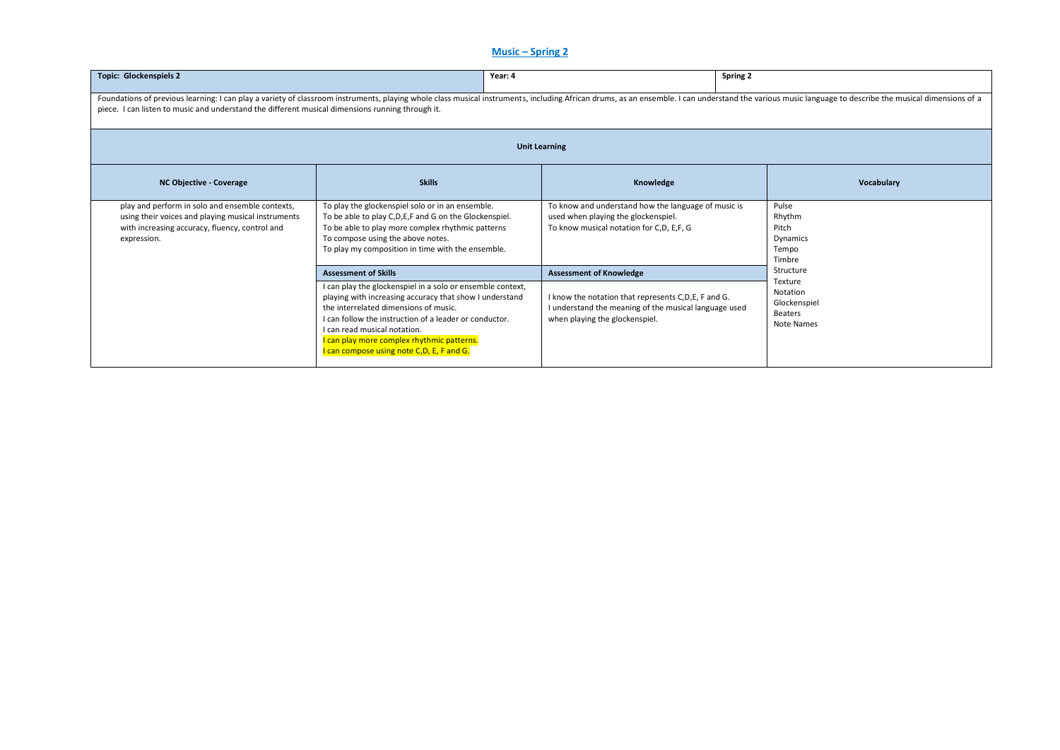# **Music – Spring 2**

| <b>Topic: Glockenspiels 2</b>                                                                                                                                                                                                                                                                                                      | Year: 4                                                                                                                                                                                                                                                                                                                                             |                                                                                                                                                | Spring 2                                                     |  |  |  |  |
|------------------------------------------------------------------------------------------------------------------------------------------------------------------------------------------------------------------------------------------------------------------------------------------------------------------------------------|-----------------------------------------------------------------------------------------------------------------------------------------------------------------------------------------------------------------------------------------------------------------------------------------------------------------------------------------------------|------------------------------------------------------------------------------------------------------------------------------------------------|--------------------------------------------------------------|--|--|--|--|
| Foundations of previous learning: I can play a variety of classroom instruments, playing whole class musical instruments, including African drums, as an ensemble. I can understand the various music language to describe the<br>piece. I can listen to music and understand the different musical dimensions running through it. |                                                                                                                                                                                                                                                                                                                                                     |                                                                                                                                                |                                                              |  |  |  |  |
| <b>Unit Learning</b>                                                                                                                                                                                                                                                                                                               |                                                                                                                                                                                                                                                                                                                                                     |                                                                                                                                                |                                                              |  |  |  |  |
| <b>NC Objective - Coverage</b>                                                                                                                                                                                                                                                                                                     | <b>Skills</b>                                                                                                                                                                                                                                                                                                                                       | Knowledge                                                                                                                                      | Vocabulary                                                   |  |  |  |  |
| play and perform in solo and ensemble contexts,<br>using their voices and playing musical instruments<br>with increasing accuracy, fluency, control and<br>expression.                                                                                                                                                             | To play the glockenspiel solo or in an ensemble.<br>To be able to play C,D,E,F and G on the Glockenspiel.<br>To be able to play more complex rhythmic patterns<br>To compose using the above notes.<br>To play my composition in time with the ensemble.                                                                                            | To know and understand how the language of music is<br>used when playing the glockenspiel.<br>To know musical notation for C,D, E,F, G         | Pulse<br>Rhythm<br>Pitch<br>Dynamics<br>Tempo<br>Timbre      |  |  |  |  |
|                                                                                                                                                                                                                                                                                                                                    | <b>Assessment of Skills</b>                                                                                                                                                                                                                                                                                                                         | <b>Assessment of Knowledge</b>                                                                                                                 | Structure                                                    |  |  |  |  |
|                                                                                                                                                                                                                                                                                                                                    | I can play the glockenspiel in a solo or ensemble context,<br>playing with increasing accuracy that show I understand<br>the interrelated dimensions of music.<br>I can follow the instruction of a leader or conductor.<br>I can read musical notation.<br>I can play more complex rhythmic patterns.<br>I can compose using note C,D, E, F and G. | I know the notation that represents C,D,E, F and G.<br>I understand the meaning of the musical language used<br>when playing the glockenspiel. | Texture<br>Notation<br>Glockenspiel<br>Beaters<br>Note Names |  |  |  |  |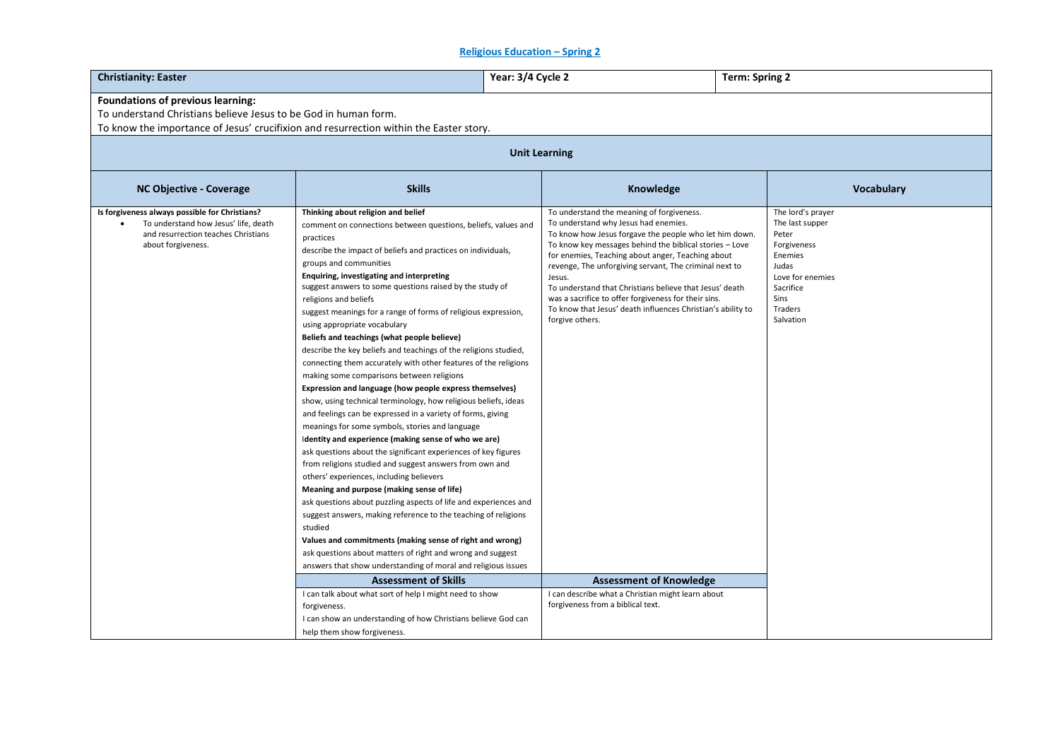## **Religious Education – Spring 2**

| <b>Christianity: Easter</b>                                                                       |                                                                                                                                                                                                                                                                                                                                                                                                                                                                                                                                                                                                                                                                                                                                                                                                                                                                                                                                                                                                                                                                                                                                                                                                                                                                                                                                                                                                                                                       | Year: 3/4 Cycle 2 |                                                                                                                                                                                                                                                                                                                                                                                                                                                                                         |  | <b>Term: Spring 2</b>                                                                                                        |            |  |
|---------------------------------------------------------------------------------------------------|-------------------------------------------------------------------------------------------------------------------------------------------------------------------------------------------------------------------------------------------------------------------------------------------------------------------------------------------------------------------------------------------------------------------------------------------------------------------------------------------------------------------------------------------------------------------------------------------------------------------------------------------------------------------------------------------------------------------------------------------------------------------------------------------------------------------------------------------------------------------------------------------------------------------------------------------------------------------------------------------------------------------------------------------------------------------------------------------------------------------------------------------------------------------------------------------------------------------------------------------------------------------------------------------------------------------------------------------------------------------------------------------------------------------------------------------------------|-------------------|-----------------------------------------------------------------------------------------------------------------------------------------------------------------------------------------------------------------------------------------------------------------------------------------------------------------------------------------------------------------------------------------------------------------------------------------------------------------------------------------|--|------------------------------------------------------------------------------------------------------------------------------|------------|--|
| Foundations of previous learning:                                                                 |                                                                                                                                                                                                                                                                                                                                                                                                                                                                                                                                                                                                                                                                                                                                                                                                                                                                                                                                                                                                                                                                                                                                                                                                                                                                                                                                                                                                                                                       |                   |                                                                                                                                                                                                                                                                                                                                                                                                                                                                                         |  |                                                                                                                              |            |  |
| To understand Christians believe Jesus to be God in human form.                                   |                                                                                                                                                                                                                                                                                                                                                                                                                                                                                                                                                                                                                                                                                                                                                                                                                                                                                                                                                                                                                                                                                                                                                                                                                                                                                                                                                                                                                                                       |                   |                                                                                                                                                                                                                                                                                                                                                                                                                                                                                         |  |                                                                                                                              |            |  |
| To know the importance of Jesus' crucifixion and resurrection within the Easter story.            |                                                                                                                                                                                                                                                                                                                                                                                                                                                                                                                                                                                                                                                                                                                                                                                                                                                                                                                                                                                                                                                                                                                                                                                                                                                                                                                                                                                                                                                       |                   |                                                                                                                                                                                                                                                                                                                                                                                                                                                                                         |  |                                                                                                                              |            |  |
|                                                                                                   |                                                                                                                                                                                                                                                                                                                                                                                                                                                                                                                                                                                                                                                                                                                                                                                                                                                                                                                                                                                                                                                                                                                                                                                                                                                                                                                                                                                                                                                       |                   |                                                                                                                                                                                                                                                                                                                                                                                                                                                                                         |  |                                                                                                                              |            |  |
|                                                                                                   | <b>Unit Learning</b>                                                                                                                                                                                                                                                                                                                                                                                                                                                                                                                                                                                                                                                                                                                                                                                                                                                                                                                                                                                                                                                                                                                                                                                                                                                                                                                                                                                                                                  |                   |                                                                                                                                                                                                                                                                                                                                                                                                                                                                                         |  |                                                                                                                              |            |  |
| <b>NC Objective - Coverage</b>                                                                    | <b>Skills</b>                                                                                                                                                                                                                                                                                                                                                                                                                                                                                                                                                                                                                                                                                                                                                                                                                                                                                                                                                                                                                                                                                                                                                                                                                                                                                                                                                                                                                                         |                   | Knowledge                                                                                                                                                                                                                                                                                                                                                                                                                                                                               |  |                                                                                                                              | Vocabulary |  |
| Is forgiveness always possible for Christians?                                                    | Thinking about religion and belief                                                                                                                                                                                                                                                                                                                                                                                                                                                                                                                                                                                                                                                                                                                                                                                                                                                                                                                                                                                                                                                                                                                                                                                                                                                                                                                                                                                                                    |                   | To understand the meaning of forgiveness.                                                                                                                                                                                                                                                                                                                                                                                                                                               |  | The lord's prayer                                                                                                            |            |  |
| To understand how Jesus' life, death<br>and resurrection teaches Christians<br>about forgiveness. | comment on connections between questions, beliefs, values and<br>practices<br>describe the impact of beliefs and practices on individuals,<br>groups and communities<br>Enquiring, investigating and interpreting<br>suggest answers to some questions raised by the study of<br>religions and beliefs<br>suggest meanings for a range of forms of religious expression,<br>using appropriate vocabulary<br>Beliefs and teachings (what people believe)<br>describe the key beliefs and teachings of the religions studied,<br>connecting them accurately with other features of the religions<br>making some comparisons between religions<br>Expression and language (how people express themselves)<br>show, using technical terminology, how religious beliefs, ideas<br>and feelings can be expressed in a variety of forms, giving<br>meanings for some symbols, stories and language<br>Identity and experience (making sense of who we are)<br>ask questions about the significant experiences of key figures<br>from religions studied and suggest answers from own and<br>others' experiences, including believers<br>Meaning and purpose (making sense of life)<br>ask questions about puzzling aspects of life and experiences and<br>suggest answers, making reference to the teaching of religions<br>studied<br>Values and commitments (making sense of right and wrong)<br>ask questions about matters of right and wrong and suggest |                   | To understand why Jesus had enemies.<br>To know how Jesus forgave the people who let him down.<br>To know key messages behind the biblical stories - Love<br>for enemies, Teaching about anger, Teaching about<br>revenge, The unforgiving servant, The criminal next to<br>Jesus.<br>To understand that Christians believe that Jesus' death<br>was a sacrifice to offer forgiveness for their sins.<br>To know that Jesus' death influences Christian's ability to<br>forgive others. |  | The last supper<br>Peter<br>Forgiveness<br>Enemies<br>Judas<br>Love for enemies<br>Sacrifice<br>Sins<br>Traders<br>Salvation |            |  |
|                                                                                                   | answers that show understanding of moral and religious issues                                                                                                                                                                                                                                                                                                                                                                                                                                                                                                                                                                                                                                                                                                                                                                                                                                                                                                                                                                                                                                                                                                                                                                                                                                                                                                                                                                                         |                   |                                                                                                                                                                                                                                                                                                                                                                                                                                                                                         |  |                                                                                                                              |            |  |
|                                                                                                   | <b>Assessment of Skills</b>                                                                                                                                                                                                                                                                                                                                                                                                                                                                                                                                                                                                                                                                                                                                                                                                                                                                                                                                                                                                                                                                                                                                                                                                                                                                                                                                                                                                                           |                   | <b>Assessment of Knowledge</b>                                                                                                                                                                                                                                                                                                                                                                                                                                                          |  |                                                                                                                              |            |  |
|                                                                                                   | I can talk about what sort of help I might need to show<br>forgiveness.<br>I can show an understanding of how Christians believe God can<br>help them show forgiveness.                                                                                                                                                                                                                                                                                                                                                                                                                                                                                                                                                                                                                                                                                                                                                                                                                                                                                                                                                                                                                                                                                                                                                                                                                                                                               |                   | I can describe what a Christian might learn about<br>forgiveness from a biblical text.                                                                                                                                                                                                                                                                                                                                                                                                  |  |                                                                                                                              |            |  |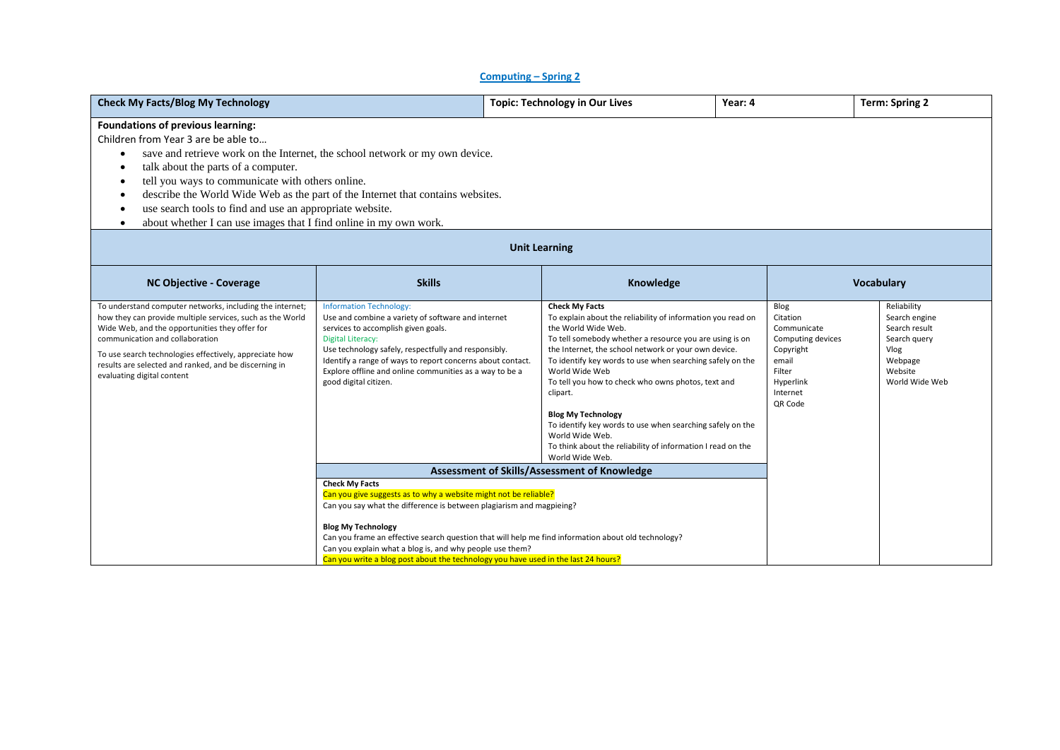#### **Computing – Spring 2**

| <b>Check My Facts/Blog My Technology</b>                                                                                                                                                                                                                                                                                                                                                                                                                                                                                                      |                                                                                                                                                                                                                                                                                                                                                                   |                      | <b>Topic: Technology in Our Lives</b>                                                                                                                                                                                                                                                                                                                                                                                                                                                                                                                                          | Year: 4 |                                                                                                                          | <b>Term: Spring 2</b>                                                                                         |
|-----------------------------------------------------------------------------------------------------------------------------------------------------------------------------------------------------------------------------------------------------------------------------------------------------------------------------------------------------------------------------------------------------------------------------------------------------------------------------------------------------------------------------------------------|-------------------------------------------------------------------------------------------------------------------------------------------------------------------------------------------------------------------------------------------------------------------------------------------------------------------------------------------------------------------|----------------------|--------------------------------------------------------------------------------------------------------------------------------------------------------------------------------------------------------------------------------------------------------------------------------------------------------------------------------------------------------------------------------------------------------------------------------------------------------------------------------------------------------------------------------------------------------------------------------|---------|--------------------------------------------------------------------------------------------------------------------------|---------------------------------------------------------------------------------------------------------------|
| Foundations of previous learning:<br>Children from Year 3 are be able to<br>save and retrieve work on the Internet, the school network or my own device.<br>$\bullet$<br>talk about the parts of a computer.<br>٠<br>tell you ways to communicate with others online.<br>$\bullet$<br>describe the World Wide Web as the part of the Internet that contains websites.<br>$\bullet$<br>use search tools to find and use an appropriate website.<br>$\bullet$<br>about whether I can use images that I find online in my own work.<br>$\bullet$ |                                                                                                                                                                                                                                                                                                                                                                   |                      |                                                                                                                                                                                                                                                                                                                                                                                                                                                                                                                                                                                |         |                                                                                                                          |                                                                                                               |
|                                                                                                                                                                                                                                                                                                                                                                                                                                                                                                                                               |                                                                                                                                                                                                                                                                                                                                                                   | <b>Unit Learning</b> |                                                                                                                                                                                                                                                                                                                                                                                                                                                                                                                                                                                |         |                                                                                                                          |                                                                                                               |
| <b>NC Objective - Coverage</b>                                                                                                                                                                                                                                                                                                                                                                                                                                                                                                                | <b>Skills</b>                                                                                                                                                                                                                                                                                                                                                     |                      | Knowledge                                                                                                                                                                                                                                                                                                                                                                                                                                                                                                                                                                      |         |                                                                                                                          | Vocabulary                                                                                                    |
| To understand computer networks, including the internet;<br>how they can provide multiple services, such as the World<br>Wide Web, and the opportunities they offer for<br>communication and collaboration<br>To use search technologies effectively, appreciate how<br>results are selected and ranked, and be discerning in<br>evaluating digital content                                                                                                                                                                                   | <b>Information Technology:</b><br>Use and combine a variety of software and internet<br>services to accomplish given goals.<br><b>Digital Literacy:</b><br>Use technology safely, respectfully and responsibly.<br>Identify a range of ways to report concerns about contact.<br>Explore offline and online communities as a way to be a<br>good digital citizen. |                      | <b>Check My Facts</b><br>To explain about the reliability of information you read on<br>the World Wide Web.<br>To tell somebody whether a resource you are using is on<br>the Internet, the school network or your own device.<br>To identify key words to use when searching safely on the<br>World Wide Web<br>To tell you how to check who owns photos, text and<br>clipart.<br><b>Blog My Technology</b><br>To identify key words to use when searching safely on the<br>World Wide Web.<br>To think about the reliability of information I read on the<br>World Wide Web. |         | Blog<br>Citation<br>Communicate<br>Computing devices<br>Copyright<br>email<br>Filter<br>Hyperlink<br>Internet<br>QR Code | Reliability<br>Search engine<br>Search result<br>Search query<br>Vlog<br>Webpage<br>Website<br>World Wide Web |
|                                                                                                                                                                                                                                                                                                                                                                                                                                                                                                                                               |                                                                                                                                                                                                                                                                                                                                                                   |                      | Assessment of Skills/Assessment of Knowledge                                                                                                                                                                                                                                                                                                                                                                                                                                                                                                                                   |         |                                                                                                                          |                                                                                                               |
| <b>Check My Facts</b><br>Can you give suggests as to why a website might not be reliable?<br>Can you say what the difference is between plagiarism and magpieing?<br><b>Blog My Technology</b><br>Can you frame an effective search question that will help me find information about old technology?<br>Can you explain what a blog is, and why people use them?<br>Can you write a blog post about the technology you have used in the last 24 hours?                                                                                       |                                                                                                                                                                                                                                                                                                                                                                   |                      |                                                                                                                                                                                                                                                                                                                                                                                                                                                                                                                                                                                |         |                                                                                                                          |                                                                                                               |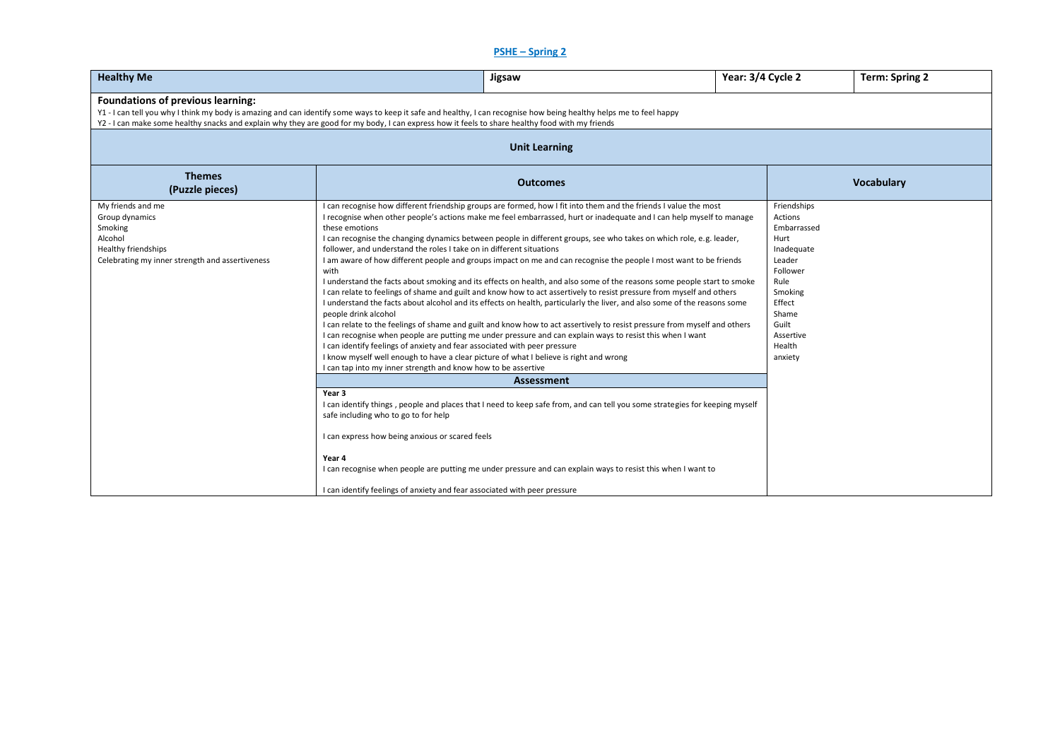# **PSHE – Spring 2**

| <b>Healthy Me</b><br>Jigsaw                                                                                                         |                                                                                                                                                                                                                                                                                                                                                                |                                                                                                                                                                                                                                                                                                                                                                                                                                                                                                                                                                                                                                                                                                                                                                                                                                                                                                                                                                                                                                                                                                                 | Year: 3/4 Cycle 2 |                                                                                                                                                                    | <b>Term: Spring 2</b> |  |  |  |
|-------------------------------------------------------------------------------------------------------------------------------------|----------------------------------------------------------------------------------------------------------------------------------------------------------------------------------------------------------------------------------------------------------------------------------------------------------------------------------------------------------------|-----------------------------------------------------------------------------------------------------------------------------------------------------------------------------------------------------------------------------------------------------------------------------------------------------------------------------------------------------------------------------------------------------------------------------------------------------------------------------------------------------------------------------------------------------------------------------------------------------------------------------------------------------------------------------------------------------------------------------------------------------------------------------------------------------------------------------------------------------------------------------------------------------------------------------------------------------------------------------------------------------------------------------------------------------------------------------------------------------------------|-------------------|--------------------------------------------------------------------------------------------------------------------------------------------------------------------|-----------------------|--|--|--|
| <b>Foundations of previous learning:</b>                                                                                            | Y1 - I can tell you why I think my body is amazing and can identify some ways to keep it safe and healthy, I can recognise how being healthy helps me to feel happy<br>Y2 - I can make some healthy snacks and explain why they are good for my body, I can express how it feels to share healthy food with my friends                                         |                                                                                                                                                                                                                                                                                                                                                                                                                                                                                                                                                                                                                                                                                                                                                                                                                                                                                                                                                                                                                                                                                                                 |                   |                                                                                                                                                                    |                       |  |  |  |
|                                                                                                                                     |                                                                                                                                                                                                                                                                                                                                                                | <b>Unit Learning</b>                                                                                                                                                                                                                                                                                                                                                                                                                                                                                                                                                                                                                                                                                                                                                                                                                                                                                                                                                                                                                                                                                            |                   |                                                                                                                                                                    |                       |  |  |  |
| <b>Themes</b><br>(Puzzle pieces)                                                                                                    |                                                                                                                                                                                                                                                                                                                                                                |                                                                                                                                                                                                                                                                                                                                                                                                                                                                                                                                                                                                                                                                                                                                                                                                                                                                                                                                                                                                                                                                                                                 |                   | <b>Vocabulary</b>                                                                                                                                                  |                       |  |  |  |
| My friends and me<br>Group dynamics<br>Smoking<br>Alcohol<br>Healthy friendships<br>Celebrating my inner strength and assertiveness | these emotions<br>follower, and understand the roles I take on in different situations<br>with<br>people drink alcohol<br>I can identify feelings of anxiety and fear associated with peer pressure<br>I know myself well enough to have a clear picture of what I believe is right and wrong<br>I can tap into my inner strength and know how to be assertive | I can recognise how different friendship groups are formed, how I fit into them and the friends I value the most<br>I recognise when other people's actions make me feel embarrassed, hurt or inadequate and I can help myself to manage<br>I can recognise the changing dynamics between people in different groups, see who takes on which role, e.g. leader,<br>I am aware of how different people and groups impact on me and can recognise the people I most want to be friends<br>I understand the facts about smoking and its effects on health, and also some of the reasons some people start to smoke<br>I can relate to feelings of shame and guilt and know how to act assertively to resist pressure from myself and others<br>I understand the facts about alcohol and its effects on health, particularly the liver, and also some of the reasons some<br>I can relate to the feelings of shame and guilt and know how to act assertively to resist pressure from myself and others<br>I can recognise when people are putting me under pressure and can explain ways to resist this when I want |                   | Friendships<br>Actions<br>Embarrassed<br>Hurt<br>Inadequate<br>Leader<br>Follower<br>Rule<br>Smoking<br>Effect<br>Shame<br>Guilt<br>Assertive<br>Health<br>anxiety |                       |  |  |  |
|                                                                                                                                     | Year 3                                                                                                                                                                                                                                                                                                                                                         | <b>Assessment</b>                                                                                                                                                                                                                                                                                                                                                                                                                                                                                                                                                                                                                                                                                                                                                                                                                                                                                                                                                                                                                                                                                               |                   |                                                                                                                                                                    |                       |  |  |  |
|                                                                                                                                     | safe including who to go to for help                                                                                                                                                                                                                                                                                                                           | I can identify things, people and places that I need to keep safe from, and can tell you some strategies for keeping myself                                                                                                                                                                                                                                                                                                                                                                                                                                                                                                                                                                                                                                                                                                                                                                                                                                                                                                                                                                                     |                   |                                                                                                                                                                    |                       |  |  |  |
|                                                                                                                                     | I can express how being anxious or scared feels                                                                                                                                                                                                                                                                                                                |                                                                                                                                                                                                                                                                                                                                                                                                                                                                                                                                                                                                                                                                                                                                                                                                                                                                                                                                                                                                                                                                                                                 |                   |                                                                                                                                                                    |                       |  |  |  |
|                                                                                                                                     | Year 4                                                                                                                                                                                                                                                                                                                                                         | I can recognise when people are putting me under pressure and can explain ways to resist this when I want to                                                                                                                                                                                                                                                                                                                                                                                                                                                                                                                                                                                                                                                                                                                                                                                                                                                                                                                                                                                                    |                   |                                                                                                                                                                    |                       |  |  |  |
|                                                                                                                                     | I can identify feelings of anxiety and fear associated with peer pressure                                                                                                                                                                                                                                                                                      |                                                                                                                                                                                                                                                                                                                                                                                                                                                                                                                                                                                                                                                                                                                                                                                                                                                                                                                                                                                                                                                                                                                 |                   |                                                                                                                                                                    |                       |  |  |  |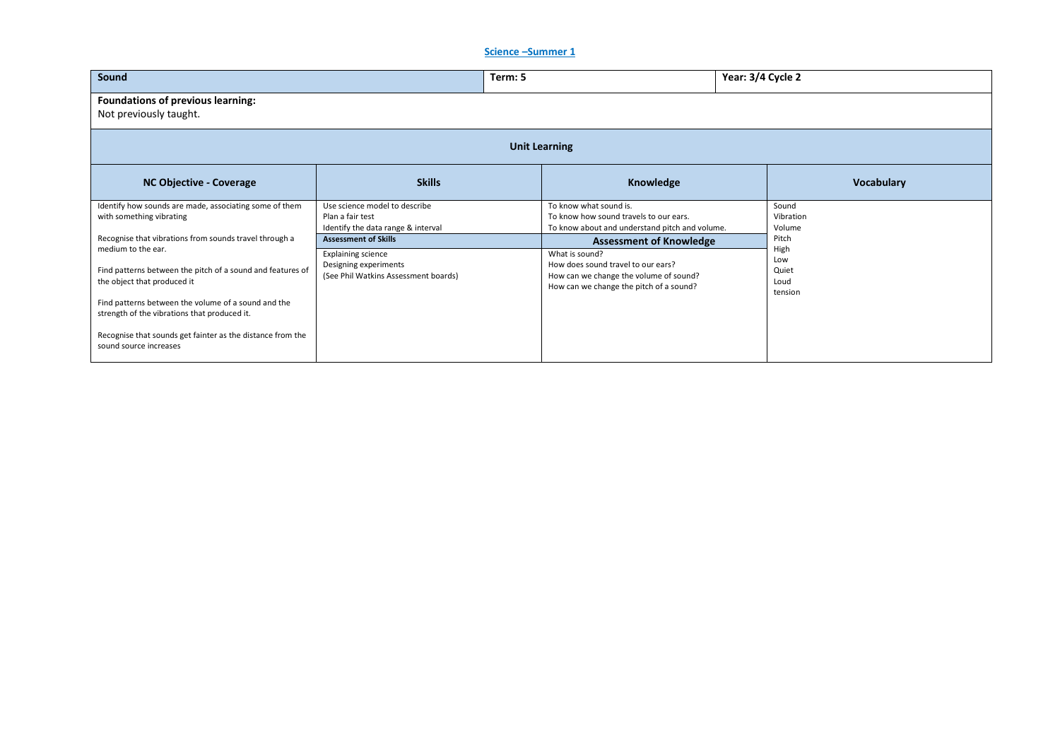#### **Science –Summer 1**

| Sound                                                                                               |                                                                                         | Term: 5 |                                                                                                                         |  | Year: 3/4 Cycle 2            |  |  |
|-----------------------------------------------------------------------------------------------------|-----------------------------------------------------------------------------------------|---------|-------------------------------------------------------------------------------------------------------------------------|--|------------------------------|--|--|
| Foundations of previous learning:<br>Not previously taught.                                         |                                                                                         |         |                                                                                                                         |  |                              |  |  |
| <b>Unit Learning</b>                                                                                |                                                                                         |         |                                                                                                                         |  |                              |  |  |
| <b>NC Objective - Coverage</b>                                                                      | <b>Skills</b>                                                                           |         | Knowledge                                                                                                               |  | <b>Vocabulary</b>            |  |  |
| Identify how sounds are made, associating some of them<br>with something vibrating                  | Use science model to describe<br>Plan a fair test<br>Identify the data range & interval |         | To know what sound is.<br>To know how sound travels to our ears.<br>To know about and understand pitch and volume.      |  | Sound<br>Vibration<br>Volume |  |  |
| Recognise that vibrations from sounds travel through a<br>medium to the ear.                        | <b>Assessment of Skills</b><br><b>Explaining science</b>                                |         | <b>Assessment of Knowledge</b><br>What is sound?                                                                        |  | Pitch<br>High<br>Low         |  |  |
| Find patterns between the pitch of a sound and features of<br>the object that produced it           | Designing experiments<br>(See Phil Watkins Assessment boards)                           |         | How does sound travel to our ears?<br>How can we change the volume of sound?<br>How can we change the pitch of a sound? |  | Quiet<br>Loud<br>tension     |  |  |
| Find patterns between the volume of a sound and the<br>strength of the vibrations that produced it. |                                                                                         |         |                                                                                                                         |  |                              |  |  |
| Recognise that sounds get fainter as the distance from the<br>sound source increases                |                                                                                         |         |                                                                                                                         |  |                              |  |  |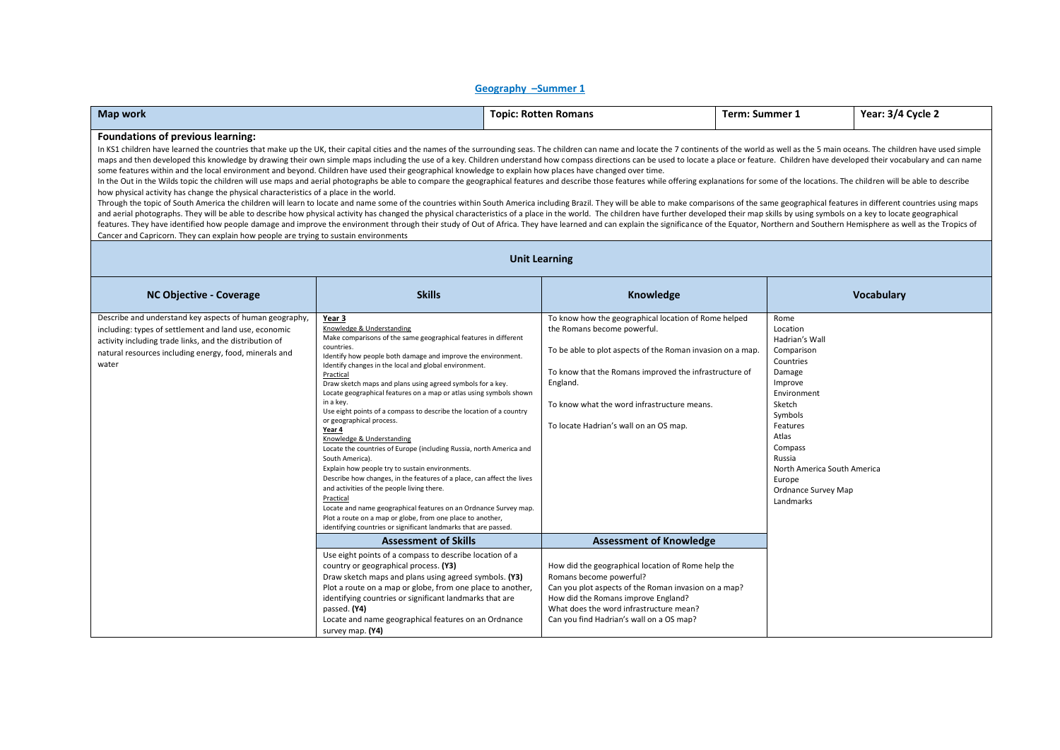#### **Geography –Summer 1**

| Map work | : Rotten Romans | Term       | Year:                                 |
|----------|-----------------|------------|---------------------------------------|
|          | ropic:          | : Summer . | $-3/4$ Cycle $\overline{\phantom{a}}$ |

#### **Foundations of previous learning:**

In KS1 children have learned the countries that make up the UK, their capital cities and the names of the surrounding seas. The children can name and locate the 7 continents of the world as well as the 5 main oceans. The c maps and then developed this knowledge by drawing their own simple maps including the use of a key. Children understand how compass directions can be used to locate a place or feature. Children have developed their vocabul some features within and the local environment and beyond. Children have used their geographical knowledge to explain how places have changed over time.

In the Out in the Wilds topic the children will use maps and aerial photographs be able to compare the geographical features and describe those features while offering explanations for some of the locations. The children w how physical activity has change the physical characteristics of a place in the world.

Through the topic of South America the children will learn to locate and name some of the countries within South America including Brazil. They will be able to make comparisons of the same geographical features in differen and aerial photographs. They will be able to describe how physical activity has changed the physical characteristics of a place in the world. The children have further developed their map skills by using symbols on a key t features. They have identified how people damage and improve the environment through their study of Out of Africa. They have learned and can explain the significance of the Equator, Northern and Southern Hemisphere as well Cancer and Capricorn. They can explain how people are trying to sustain environments

| <b>NC Objective - Coverage</b>                                                                                                                                                                                                                 | <b>Skills</b>                                                                                                                                                                                                                                                                                                                                                                                                                                                                                                                                                                                                                                                                                                                                                                                                                                                                                                                                                                                                                                | Knowledge                                                                                                                                                                                                                                                                                                        | <b>Vocabulary</b>                                                                                                                                                                                                                             |
|------------------------------------------------------------------------------------------------------------------------------------------------------------------------------------------------------------------------------------------------|----------------------------------------------------------------------------------------------------------------------------------------------------------------------------------------------------------------------------------------------------------------------------------------------------------------------------------------------------------------------------------------------------------------------------------------------------------------------------------------------------------------------------------------------------------------------------------------------------------------------------------------------------------------------------------------------------------------------------------------------------------------------------------------------------------------------------------------------------------------------------------------------------------------------------------------------------------------------------------------------------------------------------------------------|------------------------------------------------------------------------------------------------------------------------------------------------------------------------------------------------------------------------------------------------------------------------------------------------------------------|-----------------------------------------------------------------------------------------------------------------------------------------------------------------------------------------------------------------------------------------------|
| Describe and understand key aspects of human geography,<br>including: types of settlement and land use, economic<br>activity including trade links, and the distribution of<br>natural resources including energy, food, minerals and<br>water | Year 3<br>Knowledge & Understanding<br>Make comparisons of the same geographical features in different<br>countries.<br>Identify how people both damage and improve the environment.<br>Identify changes in the local and global environment.<br>Practical<br>Draw sketch maps and plans using agreed symbols for a key.<br>Locate geographical features on a map or atlas using symbols shown<br>in a key.<br>Use eight points of a compass to describe the location of a country<br>or geographical process.<br>Year 4<br>Knowledge & Understanding<br>Locate the countries of Europe (including Russia, north America and<br>South America).<br>Explain how people try to sustain environments.<br>Describe how changes, in the features of a place, can affect the lives<br>and activities of the people living there.<br>Practical<br>Locate and name geographical features on an Ordnance Survey map.<br>Plot a route on a map or globe, from one place to another,<br>identifying countries or significant landmarks that are passed. | To know how the geographical location of Rome helped<br>the Romans become powerful.<br>To be able to plot aspects of the Roman invasion on a map.<br>To know that the Romans improved the infrastructure of<br>England.<br>To know what the word infrastructure means.<br>To locate Hadrian's wall on an OS map. | Rome<br>Location<br>Hadrian's Wall<br>Comparison<br>Countries<br>Damage<br>Improve<br>Environment<br>Sketch<br>Symbols<br>Features<br>Atlas<br>Compass<br>Russia<br>North America South America<br>Europe<br>Ordnance Survey Map<br>Landmarks |
|                                                                                                                                                                                                                                                | <b>Assessment of Skills</b>                                                                                                                                                                                                                                                                                                                                                                                                                                                                                                                                                                                                                                                                                                                                                                                                                                                                                                                                                                                                                  | <b>Assessment of Knowledge</b>                                                                                                                                                                                                                                                                                   |                                                                                                                                                                                                                                               |
|                                                                                                                                                                                                                                                | Use eight points of a compass to describe location of a<br>country or geographical process. (Y3)<br>Draw sketch maps and plans using agreed symbols. (Y3)<br>Plot a route on a map or globe, from one place to another,<br>identifying countries or significant landmarks that are<br>passed. (Y4)<br>Locate and name geographical features on an Ordnance<br>survey map. (Y4)                                                                                                                                                                                                                                                                                                                                                                                                                                                                                                                                                                                                                                                               | How did the geographical location of Rome help the<br>Romans become powerful?<br>Can you plot aspects of the Roman invasion on a map?<br>How did the Romans improve England?<br>What does the word infrastructure mean?<br>Can you find Hadrian's wall on a OS map?                                              |                                                                                                                                                                                                                                               |

#### **Unit Learning**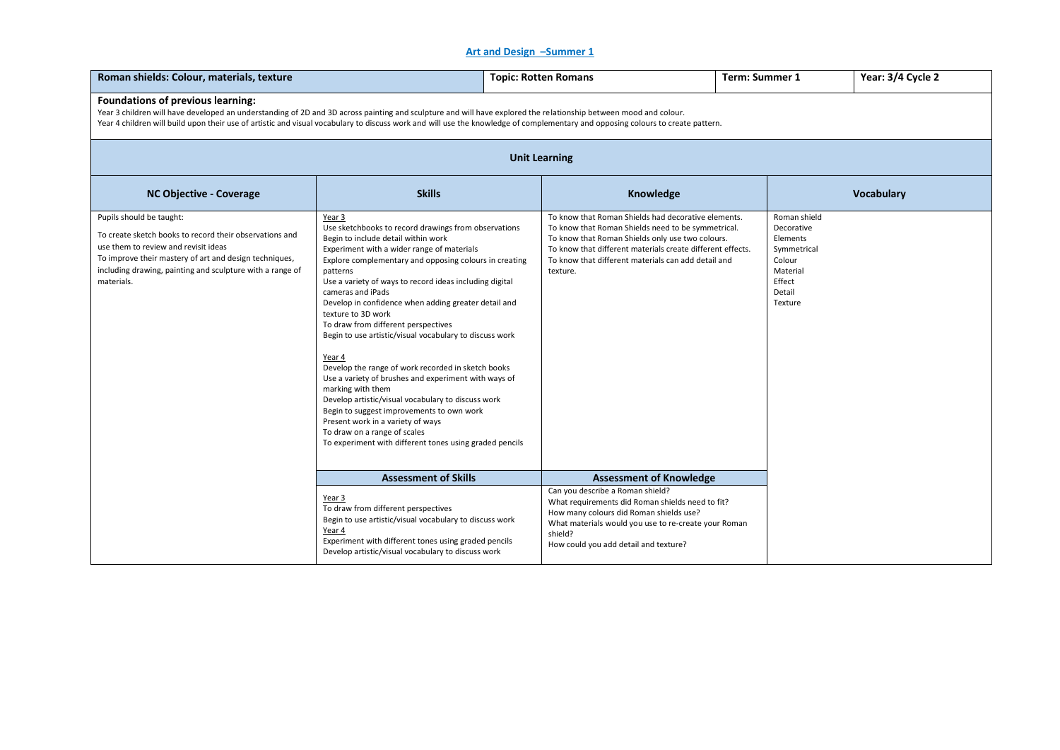#### **Art and Design –Summer 1**

| Roman shields: Colour, materials, texture                                                                                                                                                                                                                                                                                                                                                |                                                                                                                                                                                                                                                                                                                                                                                                                                                                                                                                                                                                                                                                                                                                                                                                                                                                           | <b>Topic: Rotten Romans</b>                                                                                                                                                                                                                                                                    | Term: Summer 1 |                                                                                                            | Year: 3/4 Cycle 2 |  |  |
|------------------------------------------------------------------------------------------------------------------------------------------------------------------------------------------------------------------------------------------------------------------------------------------------------------------------------------------------------------------------------------------|---------------------------------------------------------------------------------------------------------------------------------------------------------------------------------------------------------------------------------------------------------------------------------------------------------------------------------------------------------------------------------------------------------------------------------------------------------------------------------------------------------------------------------------------------------------------------------------------------------------------------------------------------------------------------------------------------------------------------------------------------------------------------------------------------------------------------------------------------------------------------|------------------------------------------------------------------------------------------------------------------------------------------------------------------------------------------------------------------------------------------------------------------------------------------------|----------------|------------------------------------------------------------------------------------------------------------|-------------------|--|--|
| Foundations of previous learning:<br>Year 3 children will have developed an understanding of 2D and 3D across painting and sculpture and will have explored the relationship between mood and colour.<br>Year 4 children will build upon their use of artistic and visual vocabulary to discuss work and will use the knowledge of complementary and opposing colours to create pattern. |                                                                                                                                                                                                                                                                                                                                                                                                                                                                                                                                                                                                                                                                                                                                                                                                                                                                           |                                                                                                                                                                                                                                                                                                |                |                                                                                                            |                   |  |  |
| <b>Unit Learning</b>                                                                                                                                                                                                                                                                                                                                                                     |                                                                                                                                                                                                                                                                                                                                                                                                                                                                                                                                                                                                                                                                                                                                                                                                                                                                           |                                                                                                                                                                                                                                                                                                |                |                                                                                                            |                   |  |  |
| <b>NC Objective - Coverage</b>                                                                                                                                                                                                                                                                                                                                                           | <b>Skills</b>                                                                                                                                                                                                                                                                                                                                                                                                                                                                                                                                                                                                                                                                                                                                                                                                                                                             | Knowledge                                                                                                                                                                                                                                                                                      |                |                                                                                                            | Vocabulary        |  |  |
| Pupils should be taught:<br>To create sketch books to record their observations and<br>use them to review and revisit ideas<br>To improve their mastery of art and design techniques,<br>including drawing, painting and sculpture with a range of<br>materials.                                                                                                                         | Year 3<br>Use sketchbooks to record drawings from observations<br>Begin to include detail within work<br>Experiment with a wider range of materials<br>Explore complementary and opposing colours in creating<br>patterns<br>Use a variety of ways to record ideas including digital<br>cameras and iPads<br>Develop in confidence when adding greater detail and<br>texture to 3D work<br>To draw from different perspectives<br>Begin to use artistic/visual vocabulary to discuss work<br>Year 4<br>Develop the range of work recorded in sketch books<br>Use a variety of brushes and experiment with ways of<br>marking with them<br>Develop artistic/visual vocabulary to discuss work<br>Begin to suggest improvements to own work<br>Present work in a variety of ways<br>To draw on a range of scales<br>To experiment with different tones using graded pencils | To know that Roman Shields had decorative elements.<br>To know that Roman Shields need to be symmetrical.<br>To know that Roman Shields only use two colours.<br>To know that different materials create different effects.<br>To know that different materials can add detail and<br>texture. |                | Roman shield<br>Decorative<br>Elements<br>Symmetrical<br>Colour<br>Material<br>Effect<br>Detail<br>Texture |                   |  |  |
|                                                                                                                                                                                                                                                                                                                                                                                          | <b>Assessment of Skills</b><br>Year 3<br>To draw from different perspectives<br>Begin to use artistic/visual vocabulary to discuss work<br>Year 4<br>Experiment with different tones using graded pencils<br>Develop artistic/visual vocabulary to discuss work                                                                                                                                                                                                                                                                                                                                                                                                                                                                                                                                                                                                           | <b>Assessment of Knowledge</b><br>Can you describe a Roman shield?<br>What requirements did Roman shields need to fit?<br>How many colours did Roman shields use?<br>What materials would you use to re-create your Roman<br>shield?<br>How could you add detail and texture?                  |                |                                                                                                            |                   |  |  |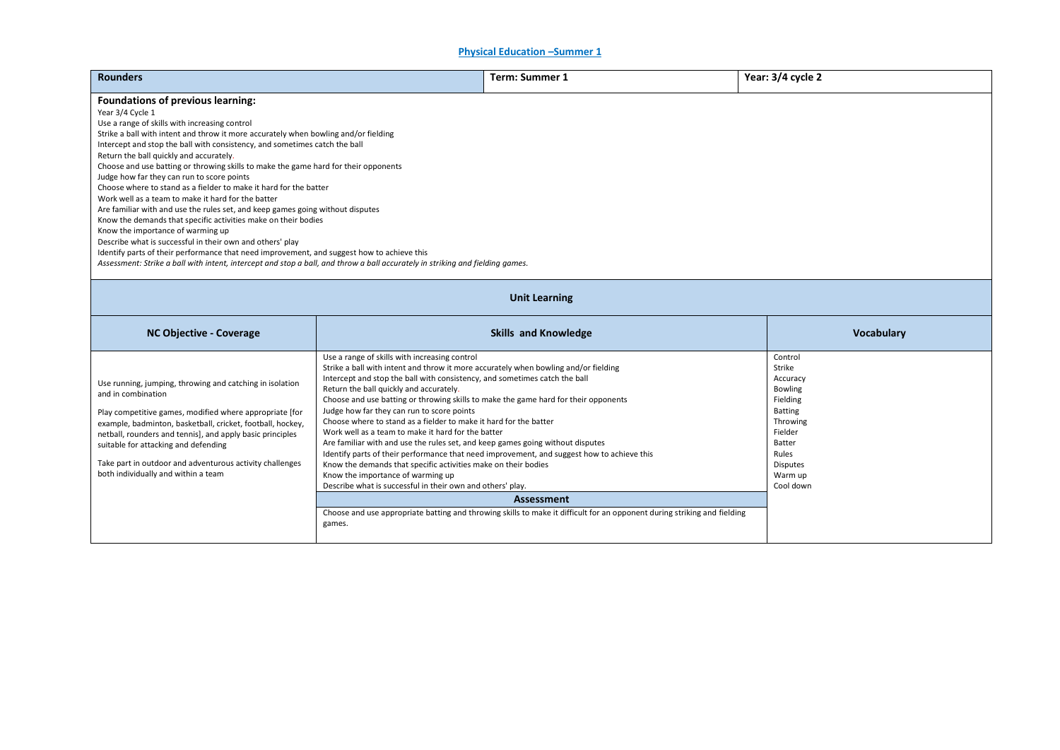**Physical Education –Summer 1** 

| <b>Rounders</b>                                                                                                                                                                                                                                                                                                                                                                                                                                                                                                                                                                                                                                                                                                                                                                                                                                                                                                                                                                                                                                                                    |                                                                                                                                                                                                                                                                                                                                                                                                                                                                                                                                                                                                                                                                                                                                                                                      | <b>Term: Summer 1</b>                                                                                                    | Year: 3/4 cycle 2                                                                                                                                                  |  |  |  |  |  |
|------------------------------------------------------------------------------------------------------------------------------------------------------------------------------------------------------------------------------------------------------------------------------------------------------------------------------------------------------------------------------------------------------------------------------------------------------------------------------------------------------------------------------------------------------------------------------------------------------------------------------------------------------------------------------------------------------------------------------------------------------------------------------------------------------------------------------------------------------------------------------------------------------------------------------------------------------------------------------------------------------------------------------------------------------------------------------------|--------------------------------------------------------------------------------------------------------------------------------------------------------------------------------------------------------------------------------------------------------------------------------------------------------------------------------------------------------------------------------------------------------------------------------------------------------------------------------------------------------------------------------------------------------------------------------------------------------------------------------------------------------------------------------------------------------------------------------------------------------------------------------------|--------------------------------------------------------------------------------------------------------------------------|--------------------------------------------------------------------------------------------------------------------------------------------------------------------|--|--|--|--|--|
| <b>Foundations of previous learning:</b><br>Year 3/4 Cycle 1<br>Use a range of skills with increasing control<br>Strike a ball with intent and throw it more accurately when bowling and/or fielding<br>Intercept and stop the ball with consistency, and sometimes catch the ball<br>Return the ball quickly and accurately.<br>Choose and use batting or throwing skills to make the game hard for their opponents<br>Judge how far they can run to score points<br>Choose where to stand as a fielder to make it hard for the batter<br>Work well as a team to make it hard for the batter<br>Are familiar with and use the rules set, and keep games going without disputes<br>Know the demands that specific activities make on their bodies<br>Know the importance of warming up<br>Describe what is successful in their own and others' play<br>Identify parts of their performance that need improvement, and suggest how to achieve this<br>Assessment: Strike a ball with intent, intercept and stop a ball, and throw a ball accurately in striking and fielding games. |                                                                                                                                                                                                                                                                                                                                                                                                                                                                                                                                                                                                                                                                                                                                                                                      |                                                                                                                          |                                                                                                                                                                    |  |  |  |  |  |
| <b>Unit Learning</b>                                                                                                                                                                                                                                                                                                                                                                                                                                                                                                                                                                                                                                                                                                                                                                                                                                                                                                                                                                                                                                                               |                                                                                                                                                                                                                                                                                                                                                                                                                                                                                                                                                                                                                                                                                                                                                                                      |                                                                                                                          |                                                                                                                                                                    |  |  |  |  |  |
| <b>NC Objective - Coverage</b>                                                                                                                                                                                                                                                                                                                                                                                                                                                                                                                                                                                                                                                                                                                                                                                                                                                                                                                                                                                                                                                     |                                                                                                                                                                                                                                                                                                                                                                                                                                                                                                                                                                                                                                                                                                                                                                                      | <b>Vocabulary</b>                                                                                                        |                                                                                                                                                                    |  |  |  |  |  |
| Use running, jumping, throwing and catching in isolation<br>and in combination<br>Play competitive games, modified where appropriate [for<br>example, badminton, basketball, cricket, football, hockey,<br>netball, rounders and tennis], and apply basic principles<br>suitable for attacking and defending<br>Take part in outdoor and adventurous activity challenges<br>both individually and within a team                                                                                                                                                                                                                                                                                                                                                                                                                                                                                                                                                                                                                                                                    | Use a range of skills with increasing control<br>Strike a ball with intent and throw it more accurately when bowling and/or fielding<br>Intercept and stop the ball with consistency, and sometimes catch the ball<br>Return the ball quickly and accurately.<br>Choose and use batting or throwing skills to make the game hard for their opponents<br>Judge how far they can run to score points<br>Choose where to stand as a fielder to make it hard for the batter<br>Work well as a team to make it hard for the batter<br>Are familiar with and use the rules set, and keep games going without disputes<br>Know the demands that specific activities make on their bodies<br>Know the importance of warming up<br>Describe what is successful in their own and others' play. | Identify parts of their performance that need improvement, and suggest how to achieve this<br><b>Assessment</b>          | Control<br>Strike<br>Accuracy<br><b>Bowling</b><br>Fielding<br><b>Batting</b><br>Throwing<br>Fielder<br>Batter<br>Rules<br><b>Disputes</b><br>Warm up<br>Cool down |  |  |  |  |  |
|                                                                                                                                                                                                                                                                                                                                                                                                                                                                                                                                                                                                                                                                                                                                                                                                                                                                                                                                                                                                                                                                                    | games.                                                                                                                                                                                                                                                                                                                                                                                                                                                                                                                                                                                                                                                                                                                                                                               | Choose and use appropriate batting and throwing skills to make it difficult for an opponent during striking and fielding |                                                                                                                                                                    |  |  |  |  |  |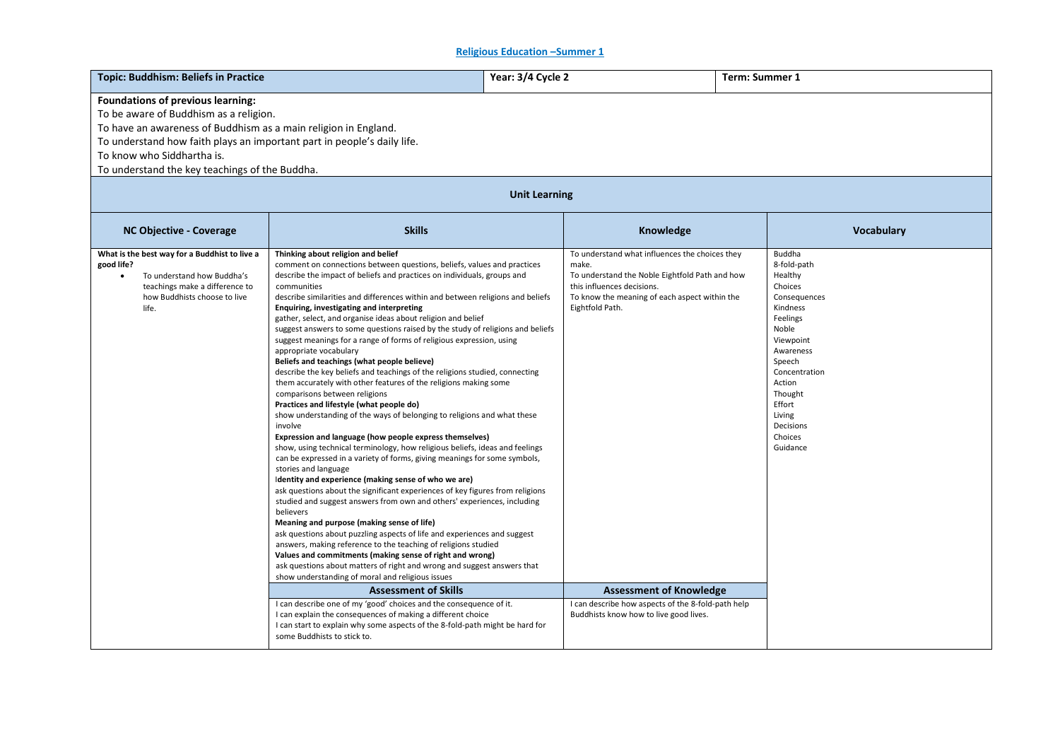**Religious Education –Summer 1** 

| <b>Foundations of previous learning:</b><br>To be aware of Buddhism as a religion.<br>To have an awareness of Buddhism as a main religion in England.<br>To understand how faith plays an important part in people's daily life.<br>To know who Siddhartha is.<br>To understand the key teachings of the Buddha.<br><b>Unit Learning</b><br><b>Skills</b><br><b>NC Objective - Coverage</b><br>Knowledge<br><b>Vocabulary</b><br>What is the best way for a Buddhist to live a<br>Thinking about religion and belief<br>To understand what influences the choices they<br>Buddha<br>good life?<br>comment on connections between questions, beliefs, values and practices<br>8-fold-path<br>make.<br>describe the impact of beliefs and practices on individuals, groups and<br>To understand the Noble Eightfold Path and how<br>To understand how Buddha's<br>Healthy<br>teachings make a difference to<br>this influences decisions.<br>Choices<br>communities<br>describe similarities and differences within and between religions and beliefs<br>To know the meaning of each aspect within the<br>how Buddhists choose to live<br>Consequences<br>Enquiring, investigating and interpreting<br>Eightfold Path.<br>life.<br>Kindness<br>gather, select, and organise ideas about religion and belief<br>Feelings<br>suggest answers to some questions raised by the study of religions and beliefs<br>Noble<br>suggest meanings for a range of forms of religious expression, using<br>Viewpoint<br>appropriate vocabulary<br>Awareness<br>Beliefs and teachings (what people believe)<br>Speech<br>describe the key beliefs and teachings of the religions studied, connecting<br>Concentration<br>them accurately with other features of the religions making some<br>Action<br>comparisons between religions<br>Thought<br>Practices and lifestyle (what people do)<br>Effort<br>show understanding of the ways of belonging to religions and what these<br>Living<br>Decisions<br>involve<br>Expression and language (how people express themselves)<br>Choices<br>show, using technical terminology, how religious beliefs, ideas and feelings<br>Guidance<br>can be expressed in a variety of forms, giving meanings for some symbols,<br>stories and language<br>Identity and experience (making sense of who we are)<br>ask questions about the significant experiences of key figures from religions<br>studied and suggest answers from own and others' experiences, including<br>believers<br>Meaning and purpose (making sense of life)<br>ask questions about puzzling aspects of life and experiences and suggest<br>answers, making reference to the teaching of religions studied<br>Values and commitments (making sense of right and wrong)<br>ask questions about matters of right and wrong and suggest answers that | <b>Topic: Buddhism: Beliefs in Practice</b> |                                                  | Year: 3/4 Cycle 2 | <b>Term: Summer 1</b> |  |  |  |  |
|-----------------------------------------------------------------------------------------------------------------------------------------------------------------------------------------------------------------------------------------------------------------------------------------------------------------------------------------------------------------------------------------------------------------------------------------------------------------------------------------------------------------------------------------------------------------------------------------------------------------------------------------------------------------------------------------------------------------------------------------------------------------------------------------------------------------------------------------------------------------------------------------------------------------------------------------------------------------------------------------------------------------------------------------------------------------------------------------------------------------------------------------------------------------------------------------------------------------------------------------------------------------------------------------------------------------------------------------------------------------------------------------------------------------------------------------------------------------------------------------------------------------------------------------------------------------------------------------------------------------------------------------------------------------------------------------------------------------------------------------------------------------------------------------------------------------------------------------------------------------------------------------------------------------------------------------------------------------------------------------------------------------------------------------------------------------------------------------------------------------------------------------------------------------------------------------------------------------------------------------------------------------------------------------------------------------------------------------------------------------------------------------------------------------------------------------------------------------------------------------------------------------------------------------------------------------------------------------------------------------------------------------------------------------------------------------------------------------------------------------------------------------------------------------------------------------------------------------------|---------------------------------------------|--------------------------------------------------|-------------------|-----------------------|--|--|--|--|
|                                                                                                                                                                                                                                                                                                                                                                                                                                                                                                                                                                                                                                                                                                                                                                                                                                                                                                                                                                                                                                                                                                                                                                                                                                                                                                                                                                                                                                                                                                                                                                                                                                                                                                                                                                                                                                                                                                                                                                                                                                                                                                                                                                                                                                                                                                                                                                                                                                                                                                                                                                                                                                                                                                                                                                                                                                               |                                             |                                                  |                   |                       |  |  |  |  |
|                                                                                                                                                                                                                                                                                                                                                                                                                                                                                                                                                                                                                                                                                                                                                                                                                                                                                                                                                                                                                                                                                                                                                                                                                                                                                                                                                                                                                                                                                                                                                                                                                                                                                                                                                                                                                                                                                                                                                                                                                                                                                                                                                                                                                                                                                                                                                                                                                                                                                                                                                                                                                                                                                                                                                                                                                                               |                                             |                                                  |                   |                       |  |  |  |  |
|                                                                                                                                                                                                                                                                                                                                                                                                                                                                                                                                                                                                                                                                                                                                                                                                                                                                                                                                                                                                                                                                                                                                                                                                                                                                                                                                                                                                                                                                                                                                                                                                                                                                                                                                                                                                                                                                                                                                                                                                                                                                                                                                                                                                                                                                                                                                                                                                                                                                                                                                                                                                                                                                                                                                                                                                                                               |                                             |                                                  |                   |                       |  |  |  |  |
|                                                                                                                                                                                                                                                                                                                                                                                                                                                                                                                                                                                                                                                                                                                                                                                                                                                                                                                                                                                                                                                                                                                                                                                                                                                                                                                                                                                                                                                                                                                                                                                                                                                                                                                                                                                                                                                                                                                                                                                                                                                                                                                                                                                                                                                                                                                                                                                                                                                                                                                                                                                                                                                                                                                                                                                                                                               |                                             | show understanding of moral and religious issues |                   |                       |  |  |  |  |
| <b>Assessment of Knowledge</b><br><b>Assessment of Skills</b><br>I can describe one of my 'good' choices and the consequence of it.<br>I can describe how aspects of the 8-fold-path help<br>I can explain the consequences of making a different choice<br>Buddhists know how to live good lives.<br>I can start to explain why some aspects of the 8-fold-path might be hard for<br>some Buddhists to stick to.                                                                                                                                                                                                                                                                                                                                                                                                                                                                                                                                                                                                                                                                                                                                                                                                                                                                                                                                                                                                                                                                                                                                                                                                                                                                                                                                                                                                                                                                                                                                                                                                                                                                                                                                                                                                                                                                                                                                                                                                                                                                                                                                                                                                                                                                                                                                                                                                                             |                                             |                                                  |                   |                       |  |  |  |  |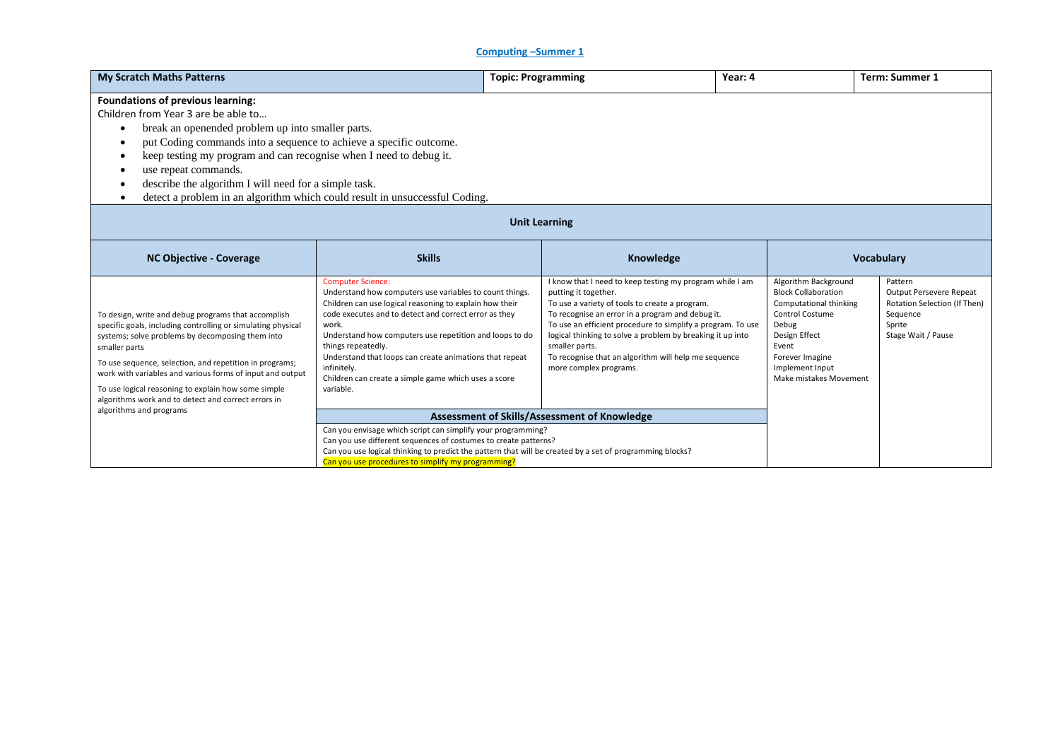## **Computing –Summer 1**

| <b>My Scratch Maths Patterns</b>                                                                                                                                                                                                                                                                                                                                                                                                                                                                       |                                                                                                                                                                                                                                                                                                                                                                                                                                                  |                   | Year: 4<br><b>Topic: Programming</b>                                                                                                                                                                                                                                                                                                                                                                                    |  |                                                                                                                                                                                                           | <b>Term: Summer 1</b>                                                                                          |
|--------------------------------------------------------------------------------------------------------------------------------------------------------------------------------------------------------------------------------------------------------------------------------------------------------------------------------------------------------------------------------------------------------------------------------------------------------------------------------------------------------|--------------------------------------------------------------------------------------------------------------------------------------------------------------------------------------------------------------------------------------------------------------------------------------------------------------------------------------------------------------------------------------------------------------------------------------------------|-------------------|-------------------------------------------------------------------------------------------------------------------------------------------------------------------------------------------------------------------------------------------------------------------------------------------------------------------------------------------------------------------------------------------------------------------------|--|-----------------------------------------------------------------------------------------------------------------------------------------------------------------------------------------------------------|----------------------------------------------------------------------------------------------------------------|
| <b>Foundations of previous learning:</b><br>Children from Year 3 are be able to<br>break an openended problem up into smaller parts.<br>$\bullet$<br>put Coding commands into a sequence to achieve a specific outcome.<br>٠<br>keep testing my program and can recognise when I need to debug it.<br>$\bullet$<br>use repeat commands.<br>٠<br>describe the algorithm I will need for a simple task.<br>٠<br>detect a problem in an algorithm which could result in unsuccessful Coding.<br>$\bullet$ |                                                                                                                                                                                                                                                                                                                                                                                                                                                  |                   |                                                                                                                                                                                                                                                                                                                                                                                                                         |  |                                                                                                                                                                                                           |                                                                                                                |
| <b>Unit Learning</b>                                                                                                                                                                                                                                                                                                                                                                                                                                                                                   |                                                                                                                                                                                                                                                                                                                                                                                                                                                  |                   |                                                                                                                                                                                                                                                                                                                                                                                                                         |  |                                                                                                                                                                                                           |                                                                                                                |
| <b>NC Objective - Coverage</b>                                                                                                                                                                                                                                                                                                                                                                                                                                                                         | <b>Skills</b>                                                                                                                                                                                                                                                                                                                                                                                                                                    | <b>Vocabulary</b> |                                                                                                                                                                                                                                                                                                                                                                                                                         |  |                                                                                                                                                                                                           |                                                                                                                |
| To design, write and debug programs that accomplish<br>specific goals, including controlling or simulating physical<br>systems; solve problems by decomposing them into<br>smaller parts<br>To use sequence, selection, and repetition in programs;<br>work with variables and various forms of input and output<br>To use logical reasoning to explain how some simple<br>algorithms work and to detect and correct errors in                                                                         | <b>Computer Science:</b><br>Understand how computers use variables to count things.<br>Children can use logical reasoning to explain how their<br>code executes and to detect and correct error as they<br>work.<br>Understand how computers use repetition and loops to do<br>things repeatedly.<br>Understand that loops can create animations that repeat<br>infinitely.<br>Children can create a simple game which uses a score<br>variable. |                   | I know that I need to keep testing my program while I am<br>putting it together.<br>To use a variety of tools to create a program.<br>To recognise an error in a program and debug it.<br>To use an efficient procedure to simplify a program. To use<br>logical thinking to solve a problem by breaking it up into<br>smaller parts.<br>To recognise that an algorithm will help me sequence<br>more complex programs. |  | Algorithm Background<br><b>Block Collaboration</b><br>Computational thinking<br><b>Control Costume</b><br>Debug<br>Design Effect<br>Event<br>Forever Imagine<br>Implement Input<br>Make mistakes Movement | Pattern<br>Output Persevere Repeat<br>Rotation Selection (If Then)<br>Sequence<br>Sprite<br>Stage Wait / Pause |
| algorithms and programs                                                                                                                                                                                                                                                                                                                                                                                                                                                                                | Assessment of Skills/Assessment of Knowledge                                                                                                                                                                                                                                                                                                                                                                                                     |                   |                                                                                                                                                                                                                                                                                                                                                                                                                         |  |                                                                                                                                                                                                           |                                                                                                                |
|                                                                                                                                                                                                                                                                                                                                                                                                                                                                                                        | Can you envisage which script can simplify your programming?<br>Can you use different sequences of costumes to create patterns?<br>Can you use logical thinking to predict the pattern that will be created by a set of programming blocks?<br>Can you use procedures to simplify my programming?                                                                                                                                                |                   |                                                                                                                                                                                                                                                                                                                                                                                                                         |  |                                                                                                                                                                                                           |                                                                                                                |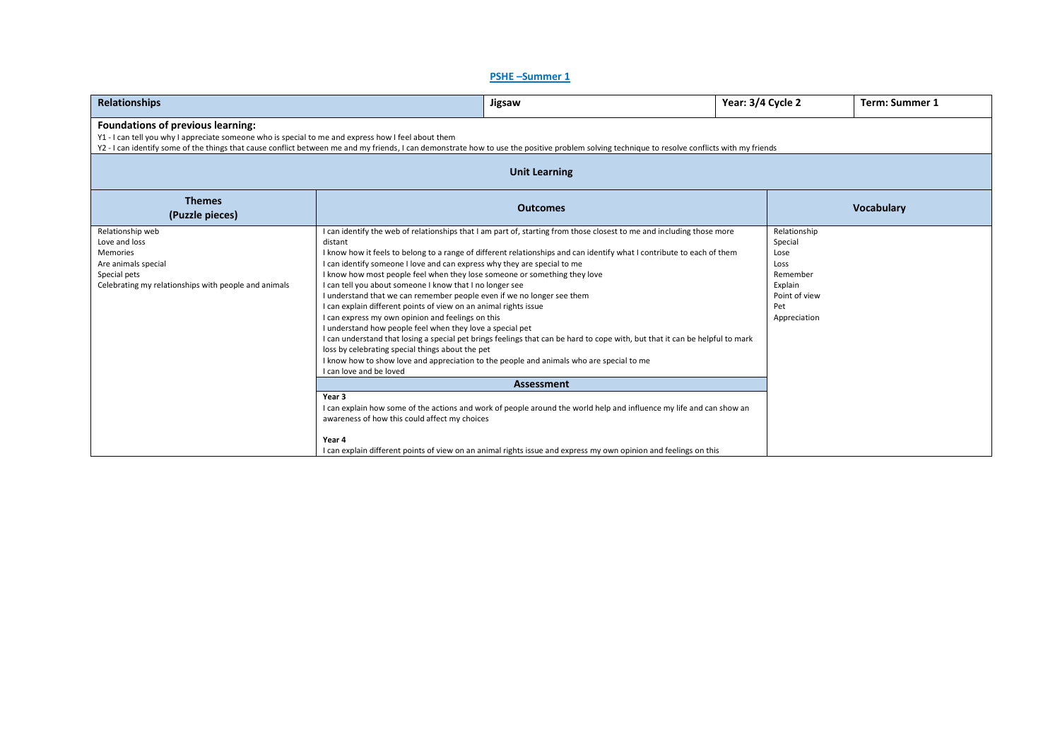## **PSHE –Summer 1**

| <b>Relationships</b>                                                                                                                                                                                                                                                                                                                       | Jigsaw                                                                                                                                                                                                                                                                                                                                                                                                                                                                                                                                                                                                                                                                                                                                                                                                                                                                                                                                                                                                                                                     | Year: 3/4 Cycle 2                                     | <b>Term: Summer 1</b>                         |  |  |  |  |  |
|--------------------------------------------------------------------------------------------------------------------------------------------------------------------------------------------------------------------------------------------------------------------------------------------------------------------------------------------|------------------------------------------------------------------------------------------------------------------------------------------------------------------------------------------------------------------------------------------------------------------------------------------------------------------------------------------------------------------------------------------------------------------------------------------------------------------------------------------------------------------------------------------------------------------------------------------------------------------------------------------------------------------------------------------------------------------------------------------------------------------------------------------------------------------------------------------------------------------------------------------------------------------------------------------------------------------------------------------------------------------------------------------------------------|-------------------------------------------------------|-----------------------------------------------|--|--|--|--|--|
| Foundations of previous learning:<br>Y1 - I can tell you why I appreciate someone who is special to me and express how I feel about them<br>Y2 - I can identify some of the things that cause conflict between me and my friends, I can demonstrate how to use the positive problem solving technique to resolve conflicts with my friends |                                                                                                                                                                                                                                                                                                                                                                                                                                                                                                                                                                                                                                                                                                                                                                                                                                                                                                                                                                                                                                                            |                                                       |                                               |  |  |  |  |  |
| <b>Unit Learning</b>                                                                                                                                                                                                                                                                                                                       |                                                                                                                                                                                                                                                                                                                                                                                                                                                                                                                                                                                                                                                                                                                                                                                                                                                                                                                                                                                                                                                            |                                                       |                                               |  |  |  |  |  |
| <b>Themes</b><br>(Puzzle pieces)                                                                                                                                                                                                                                                                                                           | <b>Outcomes</b>                                                                                                                                                                                                                                                                                                                                                                                                                                                                                                                                                                                                                                                                                                                                                                                                                                                                                                                                                                                                                                            |                                                       | <b>Vocabulary</b>                             |  |  |  |  |  |
| Relationship web<br>Love and loss<br><b>Memories</b><br>Are animals special<br>Special pets<br>Celebrating my relationships with people and animals                                                                                                                                                                                        | I can identify the web of relationships that I am part of, starting from those closest to me and including those more<br>distant<br>I know how it feels to belong to a range of different relationships and can identify what I contribute to each of them<br>I can identify someone I love and can express why they are special to me<br>I know how most people feel when they lose someone or something they love<br>I can tell you about someone I know that I no longer see<br>I understand that we can remember people even if we no longer see them<br>I can explain different points of view on an animal rights issue<br>I can express my own opinion and feelings on this<br>I understand how people feel when they love a special pet<br>I can understand that losing a special pet brings feelings that can be hard to cope with, but that it can be helpful to mark<br>loss by celebrating special things about the pet<br>I know how to show love and appreciation to the people and animals who are special to me<br>I can love and be loved | Special<br>Lose<br>Loss<br>Remember<br>Explain<br>Pet | Relationship<br>Point of view<br>Appreciation |  |  |  |  |  |
|                                                                                                                                                                                                                                                                                                                                            |                                                                                                                                                                                                                                                                                                                                                                                                                                                                                                                                                                                                                                                                                                                                                                                                                                                                                                                                                                                                                                                            |                                                       |                                               |  |  |  |  |  |
|                                                                                                                                                                                                                                                                                                                                            | Year 3<br>I can explain how some of the actions and work of people around the world help and influence my life and can show an<br>awareness of how this could affect my choices<br>Year 4                                                                                                                                                                                                                                                                                                                                                                                                                                                                                                                                                                                                                                                                                                                                                                                                                                                                  |                                                       |                                               |  |  |  |  |  |
|                                                                                                                                                                                                                                                                                                                                            | I can explain different points of view on an animal rights issue and express my own opinion and feelings on this                                                                                                                                                                                                                                                                                                                                                                                                                                                                                                                                                                                                                                                                                                                                                                                                                                                                                                                                           |                                                       |                                               |  |  |  |  |  |